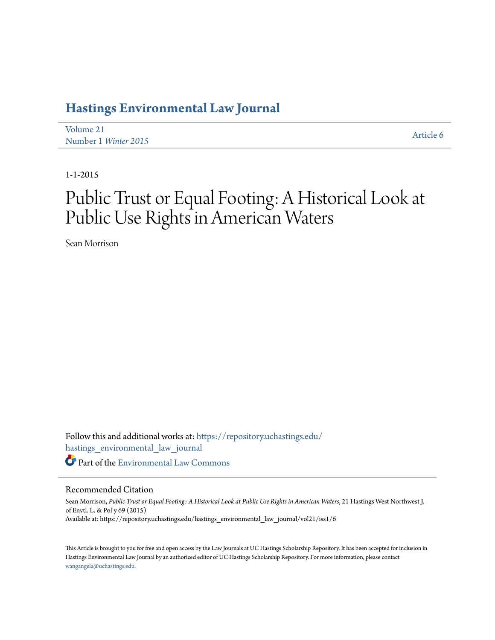## **[Hastings Environmental Law Journal](https://repository.uchastings.edu/hastings_environmental_law_journal?utm_source=repository.uchastings.edu%2Fhastings_environmental_law_journal%2Fvol21%2Fiss1%2F6&utm_medium=PDF&utm_campaign=PDFCoverPages)**

[Volume 21](https://repository.uchastings.edu/hastings_environmental_law_journal/vol21?utm_source=repository.uchastings.edu%2Fhastings_environmental_law_journal%2Fvol21%2Fiss1%2F6&utm_medium=PDF&utm_campaign=PDFCoverPages) Number 1 *[Winter 2015](https://repository.uchastings.edu/hastings_environmental_law_journal/vol21/iss1?utm_source=repository.uchastings.edu%2Fhastings_environmental_law_journal%2Fvol21%2Fiss1%2F6&utm_medium=PDF&utm_campaign=PDFCoverPages)* [Article 6](https://repository.uchastings.edu/hastings_environmental_law_journal/vol21/iss1/6?utm_source=repository.uchastings.edu%2Fhastings_environmental_law_journal%2Fvol21%2Fiss1%2F6&utm_medium=PDF&utm_campaign=PDFCoverPages)

1-1-2015

# Public Trust or Equal Footing: A Historical Look at Public Use Rights in American Waters

Sean Morrison

Follow this and additional works at: [https://repository.uchastings.edu/](https://repository.uchastings.edu/hastings_environmental_law_journal?utm_source=repository.uchastings.edu%2Fhastings_environmental_law_journal%2Fvol21%2Fiss1%2F6&utm_medium=PDF&utm_campaign=PDFCoverPages) [hastings\\_environmental\\_law\\_journal](https://repository.uchastings.edu/hastings_environmental_law_journal?utm_source=repository.uchastings.edu%2Fhastings_environmental_law_journal%2Fvol21%2Fiss1%2F6&utm_medium=PDF&utm_campaign=PDFCoverPages) Part of the [Environmental Law Commons](http://network.bepress.com/hgg/discipline/599?utm_source=repository.uchastings.edu%2Fhastings_environmental_law_journal%2Fvol21%2Fiss1%2F6&utm_medium=PDF&utm_campaign=PDFCoverPages)

## Recommended Citation

Sean Morrison, *Public Trust or Equal Footing: A Historical Look at Public Use Rights in American Waters*, 21 Hastings West Northwest J. of Envtl. L. & Pol'y 69 (2015) Available at: https://repository.uchastings.edu/hastings\_environmental\_law\_journal/vol21/iss1/6

This Article is brought to you for free and open access by the Law Journals at UC Hastings Scholarship Repository. It has been accepted for inclusion in Hastings Environmental Law Journal by an authorized editor of UC Hastings Scholarship Repository. For more information, please contact [wangangela@uchastings.edu](mailto:wangangela@uchastings.edu).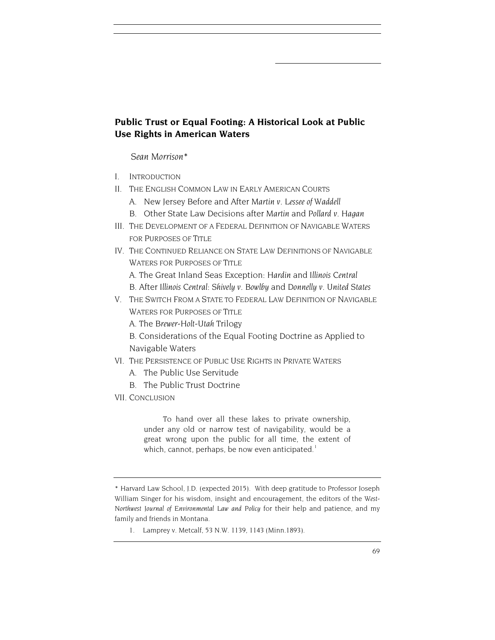## **Public Trust or Equal Footing: A Historical Look at Public Use Rights in American Waters**

*Sean Morrison*\*

- I. INTRODUCTION
- II. THE ENGLISH COMMON LAW IN EARLY AMERICAN COURTS
	- A. New Jersey Before and After *Martin v. Lessee of Waddell*
	- B. Other State Law Decisions after *Martin* and *Pollard v. Hagan*
- III. THE DEVELOPMENT OF A FEDERAL DEFINITION OF NAVIGABLE WATERS FOR PURPOSES OF TITLE
- IV. THE CONTINUED RELIANCE ON STATE LAW DEFINITIONS OF NAVIGABLE WATERS FOR PURPOSES OF TITLE
	- A. The Great Inland Seas Exception: *Hardin* and *Illinois Central*
	- B. After *Illinois Central*: *Shively v. Bowlby* and *Donnelly v. United States*
- V. THE SWITCH FROM A STATE TO FEDERAL LAW DEFINITION OF NAVIGABLE WATERS FOR PURPOSES OF TITLE
	- A. The *Brewer-Holt-Utah* Trilogy
	- B. Considerations of the Equal Footing Doctrine as Applied to Navigable Waters
- VI. THE PERSISTENCE OF PUBLIC USE RIGHTS IN PRIVATE WATERS
	- A. The Public Use Servitude
	- B. The Public Trust Doctrine
- VII. CONCLUSION

To hand over all these lakes to private ownership, under any old or narrow test of navigability, would be a great wrong upon the public for all time, the extent of which, cannot, perhaps, be now even anticipated. $1$ 

1. Lamprey v. Metcalf, 53 N.W. 1139, 1143 (Minn.1893).

<span id="page-1-0"></span><sup>\*</sup> Harvard Law School, J.D. (expected 2015). With deep gratitude to Professor Joseph William Singer for his wisdom, insight and encouragement, the editors of the *West-Northwest Journal of Environmental Law and Policy* for their help and patience, and my family and friends in Montana.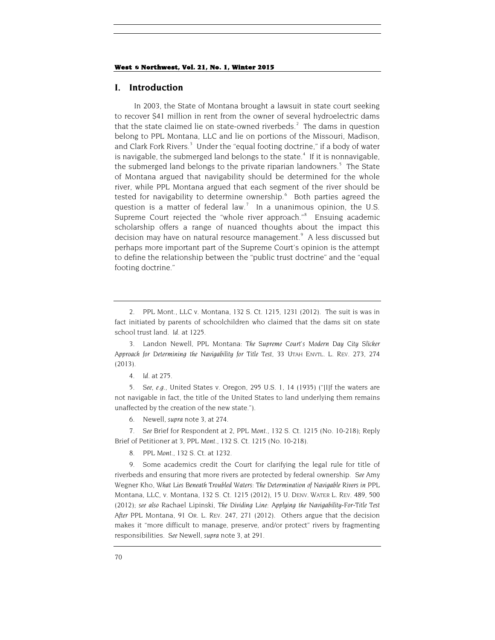## **I. Introduction**

<span id="page-2-9"></span><span id="page-2-0"></span>In 2003, the State of Montana brought a lawsuit in state court seeking to recover \$41 million in rent from the owner of several hydroelectric dams that the state claimed lie on state-owned riverbeds. $2$  The dams in question belong to PPL Montana, LLC and lie on portions of the Missouri, Madison, and Clark Fork Rivers.<sup>[3](#page-2-2)</sup> Under the "equal footing doctrine," if a body of water is navigable, the submerged land belongs to the state. $4$  If it is nonnavigable, the submerged land belongs to the private riparian landowners.<sup>[5](#page-2-4)</sup> The State of Montana argued that navigability should be determined for the whole river, while PPL Montana argued that each segment of the river should be tested for navigability to determine ownership.<sup>[6](#page-2-5)</sup> Both parties agreed the question is a matter of federal law.<sup>[7](#page-2-6)</sup> In a unanimous opinion, the U.S. Supreme Court rejected the "whole river approach."<sup>[8](#page-2-7)</sup> Ensuing academic scholarship offers a range of nuanced thoughts about the impact this decision may have on natural resource management.<sup>[9](#page-2-8)</sup> A less discussed but perhaps more important part of the Supreme Court's opinion is the attempt to define the relationship between the "public trust doctrine" and the "equal footing doctrine."

<span id="page-2-2"></span>3. Landon Newell, PPL Montana: *The Supreme Court's Modern Day City Slicker Approach for Determining the Navigability for Title Test*, 33 UTAH ENVTL. L. REV. 273, 274 (2013).

<span id="page-2-4"></span><span id="page-2-3"></span>5*. See, e.g.*, United States v. Oregon, 295 U.S. 1, 14 (1935) ("[I]f the waters are not navigable in fact, the title of the United States to land underlying them remains unaffected by the creation of the new state.").

6. Newell, *supra* not[e 3,](#page-2-0) at 274.

<span id="page-2-6"></span><span id="page-2-5"></span>7*. See* Brief for Respondent at 2, *PPL Mont.*, 132 S. Ct. 1215 (No. 10-218); Reply Brief of Petitioner at 3, *PPL Mont.*, 132 S. Ct. 1215 (No. 10-218).

8*. PPL Mont.*, 132 S. Ct. at 1232.

<span id="page-2-8"></span><span id="page-2-7"></span>9. Some academics credit the Court for clarifying the legal rule for title of riverbeds and ensuring that more rivers are protected by federal ownership. *See* Amy Wegner Kho, *What Lies Beneath Troubled Waters: The Determination of Navigable Rivers in* PPL Montana, LLC, v. Montana, 132 S. Ct. 1215 (2012), 15 U. DENV. WATER L. REV. 489, 500 (2012); *see also* Rachael Lipinski, *The Dividing Line: Applying the Navigability-For-Title Test After* PPL Montana, 91 OR. L. REV. 247, 271 (2012). Others argue that the decision makes it "more difficult to manage, preserve, and/or protect" rivers by fragmenting responsibilities. *See* Newell, *supra* note 3, at 291.

<span id="page-2-1"></span><sup>2.</sup> PPL Mont., LLC v. Montana, 132 S. Ct. 1215, 1231 (2012). The suit is was in fact initiated by parents of schoolchildren who claimed that the dams sit on state school trust land. *Id.* at 1225.

<sup>4</sup>*. Id.* at 275.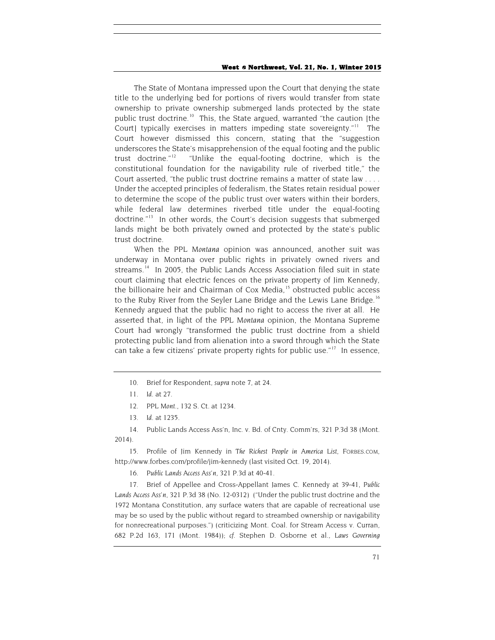The State of Montana impressed upon the Court that denying the state title to the underlying bed for portions of rivers would transfer from state ownership to private ownership submerged lands protected by the state public trust doctrine.<sup>10</sup> This, the State argued, warranted "the caution [the Court) typically exercises in matters impeding state sovereignty."<sup>[11](#page-3-1)</sup> The Court however dismissed this concern, stating that the "suggestion underscores the State's misapprehension of the equal footing and the public trust doctrine."[12](#page-3-2) "Unlike the equal-footing doctrine, which is the constitutional foundation for the navigability rule of riverbed title," the Court asserted, "the public trust doctrine remains a matter of state law . . . . Under the accepted principles of federalism, the States retain residual power to determine the scope of the public trust over waters within their borders, while federal law determines riverbed title under the equal-footing doctrine."<sup>[13](#page-3-3)</sup> In other words, the Court's decision suggests that submerged lands might be both privately owned and protected by the state's public trust doctrine.

When the *PPL Montana* opinion was announced, another suit was underway in Montana over public rights in privately owned rivers and streams. [14](#page-3-4) In 2005, the Public Lands Access Association filed suit in state court claiming that electric fences on the private property of Jim Kennedy, the billionaire heir and Chairman of Cox Media,<sup>[15](#page-3-5)</sup> obstructed public access to the Ruby River from the Seyler Lane Bridge and the Lewis Lane Bridge.<sup>[16](#page-3-6)</sup> Kennedy argued that the public had no right to access the river at all. He asserted that, in light of the *PPL Montana* opinion, the Montana Supreme Court had wrongly "transformed the public trust doctrine from a shield protecting public land from alienation into a sword through which the State can take a few citizens' private property rights for public use." $17$  In essence,

- 12*. PPL Mont.*, 132 S. Ct. at 1234.
- 13*. Id.* at 1235.

<span id="page-3-4"></span><span id="page-3-3"></span><span id="page-3-2"></span><span id="page-3-1"></span><span id="page-3-0"></span>14. Public Lands Access Ass'n, Inc. v. Bd. of Cnty. Comm'rs, 321 P.3d 38 (Mont. 2014).

<span id="page-3-5"></span>15. Profile of Jim Kennedy in *The Richest People in America List*, FORBES.COM, http://www.forbes.com/profile/jim-kennedy (last visited Oct. 19, 2014).

16*. Public Lands Access Ass'n*, 321 P.3d at 40-41.

<span id="page-3-7"></span><span id="page-3-6"></span>17. Brief of Appellee and Cross-Appellant James C. Kennedy at 39-41, *Public Lands Access Ass'n*, 321 P.3d 38 (No. 12-0312) ("Under the public trust doctrine and the 1972 Montana Constitution, any surface waters that are capable of recreational use may be so used by the public without regard to streambed ownership or navigability for nonrecreational purposes.") (criticizing Mont. Coal. for Stream Access v. Curran, 682 P.2d 163, 171 (Mont. 1984)); *cf.* Stephen D. Osborne et al., *Laws Governing* 

<sup>10.</sup> Brief for Respondent, *supra* note [7,](#page-2-9) at 24.

<sup>11</sup>*. Id*. at 27.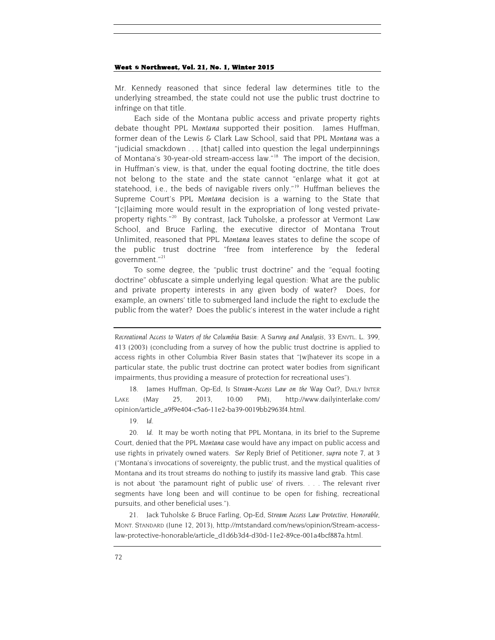Mr. Kennedy reasoned that since federal law determines title to the underlying streambed, the state could not use the public trust doctrine to infringe on that title.

Each side of the Montana public access and private property rights debate thought *PPL Montana* supported their position. James Huffman, former dean of the Lewis & Clark Law School, said that *PPL Montana* was a "judicial smackdown . . . [that] called into question the legal underpinnings of Montana's 30-year-old stream-access law."[18](#page-4-0) The import of the decision, in Huffman's view, is that, under the equal footing doctrine, the title does not belong to the state and the state cannot "enlarge what it got at statehood, i.e., the beds of navigable rivers only."<sup>19</sup> Huffman believes the Supreme Court's *PPL Montana* decision is a warning to the State that "[c]laiming more would result in the expropriation of long vested private-property rights."<sup>[20](#page-4-2)</sup> By contrast, Jack Tuholske, a professor at Vermont Law School, and Bruce Farling, the executive director of Montana Trout Unlimited, reasoned that *PPL Montana* leaves states to define the scope of the public trust doctrine "free from interference by the federal government."[21](#page-4-3)

To some degree, the "public trust doctrine" and the "equal footing doctrine" obfuscate a simple underlying legal question: What are the public and private property interests in any given body of water? Does, for example, an owners' title to submerged land include the right to exclude the public from the water? Does the public's interest in the water include a right

<span id="page-4-0"></span>18. James Huffman, Op-Ed, *Is Stream-Access Law on the Way Out?*, DAILY INTER LAKE (May 25, 2013, 10:00 PM), http://www.dailyinterlake.com/ opinion/article\_a9f9e404-c5a6-11e2-ba39-0019bb2963f4.html.

19*. Id.*

<span id="page-4-2"></span><span id="page-4-1"></span>20*. Id.* It may be worth noting that PPL Montana, in its brief to the Supreme Court, denied that the *PPL Montana* case would have any impact on public access and use rights in privately owned waters. *See* Reply Brief of Petitioner, *supra* note 7, at 3 ("Montana's invocations of sovereignty, the public trust, and the mystical qualities of Montana and its trout streams do nothing to justify its massive land grab. This case is not about 'the paramount right of public use' of rivers. . . . The relevant river segments have long been and will continue to be open for fishing, recreational pursuits, and other beneficial uses.").

<span id="page-4-3"></span>21. Jack Tuholske & Bruce Farling, Op-Ed, *Stream Access Law Protective, Honorable*, MONT. STANDARD (June 12, 2013), http://mtstandard.com/news/opinion/Stream-accesslaw-protective-honorable/article\_d1d6b3d4-d30d-11e2-89ce-001a4bcf887a.html.

*Recreational Access to Waters of the Columbia Basin: A Survey and Analysis*, 33 ENVTL. L. 399, 413 (2003) (concluding from a survey of how the public trust doctrine is applied to access rights in other Columbia River Basin states that "[w]hatever its scope in a particular state, the public trust doctrine can protect water bodies from significant impairments, thus providing a measure of protection for recreational uses").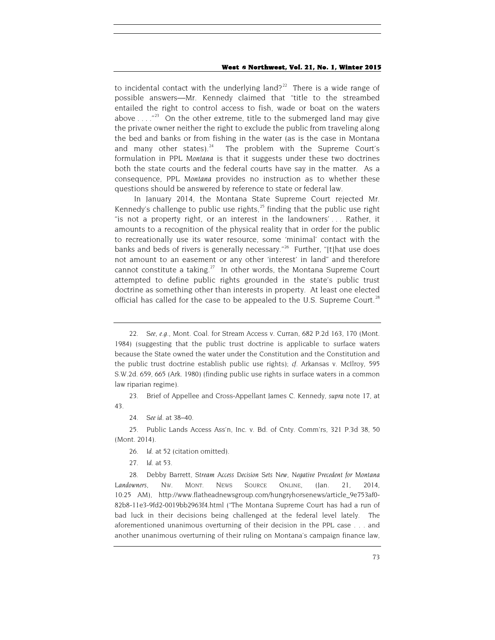to incidental contact with the underlying land?<sup>[22](#page-5-0)</sup> There is a wide range of possible answers—Mr. Kennedy claimed that "title to the streambed entailed the right to control access to fish, wade or boat on the waters above  $\ldots$  ."<sup>23</sup> On the other extreme, title to the submerged land may give the private owner neither the right to exclude the public from traveling along the bed and banks or from fishing in the water (as is the case in Montana and many other states).<sup>[24](#page-5-2)</sup> The problem with the Supreme Court's formulation in *PPL Montana* is that it suggests under these two doctrines both the state courts and the federal courts have say in the matter. As a consequence, *PPL Montana* provides no instruction as to whether these questions should be answered by reference to state or federal law.

In January 2014, the Montana State Supreme Court rejected Mr. Kennedy's challenge to public use rights, $^{25}$  $^{25}$  $^{25}$  finding that the public use right "is not a property right, or an interest in the landowners' . . . Rather, it amounts to a recognition of the physical reality that in order for the public to recreationally use its water resource, some 'minimal' contact with the banks and beds of rivers is generally necessary."<sup>[26](#page-5-4)</sup> Further, "[t]hat use does not amount to an easement or any other 'interest' in land" and therefore cannot constitute a taking.<sup>27</sup> In other words, the Montana Supreme Court attempted to define public rights grounded in the state's public trust doctrine as something other than interests in property. At least one elected official has called for the case to be appealed to the U.S. Supreme Court.<sup>[28](#page-5-6)</sup>

<span id="page-5-1"></span>23. Brief of Appellee and Cross-Appellant James C. Kennedy, *supra* note 17, at 43.

24*. See id.* at 38–40.

<span id="page-5-4"></span><span id="page-5-3"></span><span id="page-5-2"></span>25. Public Lands Access Ass'n, Inc. v. Bd. of Cnty. Comm'rs, 321 P.3d 38, 50 (Mont. 2014).

26*. Id.* at 52 (citation omitted).

27*. Id.* at 53.

<span id="page-5-6"></span><span id="page-5-5"></span>28. Debby Barrett, *Stream Access Decision Sets New, Negative Precedent for Montana Landowners*, NW. MONT. NEWS SOURCE ONLINE, (Jan. 21, 2014, 10:25 AM), http://www.flatheadnewsgroup.com/hungryhorsenews/article\_9e753af0- 82b8-11e3-9fd2-0019bb2963f4.html ("The Montana Supreme Court has had a run of bad luck in their decisions being challenged at the federal level lately. The aforementioned unanimous overturning of their decision in the PPL case . . . and another unanimous overturning of their ruling on Montana's campaign finance law,

<span id="page-5-0"></span><sup>22</sup>*. See, e.g.*, Mont. Coal. for Stream Access v. Curran, 682 P.2d 163, 170 (Mont. 1984) (suggesting that the public trust doctrine is applicable to surface waters because the State owned the water under the Constitution and the Constitution and the public trust doctrine establish public use rights); *cf.* Arkansas v. McIlroy, 595 S.W.2d. 659, 665 (Ark. 1980) (finding public use rights in surface waters in a common law riparian regime).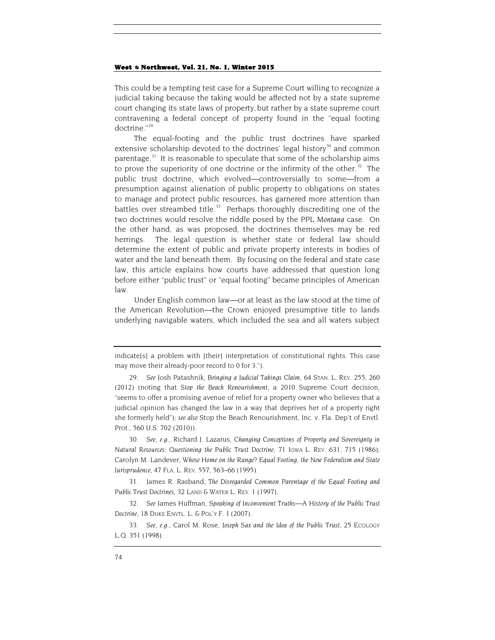This could be a tempting test case for a Supreme Court willing to recognize a judicial taking because the taking would be affected not by a state supreme court changing its state laws of property, but rather by a state supreme court contravening a federal concept of property found in the "equal footing doctrine."[29](#page-6-0)

<span id="page-6-5"></span>The equal-footing and the public trust doctrines have sparked extensive scholarship devoted to the doctrines' legal history<sup>[30](#page-6-1)</sup> and common parentage.<sup>[31](#page-6-2)</sup> It is reasonable to speculate that some of the scholarship aims to prove the superiority of one doctrine or the infirmity of the other.<sup>32</sup> The public trust doctrine, which evolved—controversially to some—from a presumption against alienation of public property to obligations on states to manage and protect public resources, has garnered more attention than battles over streambed title. $33$  Perhaps thoroughly discrediting one of the two doctrines would resolve the riddle posed by the *PPL Montana* case. On the other hand, as was proposed, the doctrines themselves may be red herrings. The legal question is whether state or federal law should determine the extent of public and private property interests in bodies of water and the land beneath them. By focusing on the federal and state case law, this article explains how courts have addressed that question long before either "public trust" or "equal footing" became principles of American law.

Under English common law—or at least as the law stood at the time of the American Revolution—the Crown enjoyed presumptive title to lands underlying navigable waters, which included the sea and all waters subject

<span id="page-6-1"></span>30*. See, e.g.*, Richard J. Lazarus, *Changing Conceptions of Property and Sovereignty in Natural Resources: Questioning the Public Trust Doctrine*, 71 IOWA L. REV. 631, 715 (1986); Carolyn M. Landever, *Whose Home on the Range? Equal Footing, the New Federalism and State Jurisprudence*, 47 FLA. L. REV. 557, 563–66 (1995).

<span id="page-6-2"></span>31. James R. Rasband, *The Disregarded Common Parentage of the Equal Footing and Public Trust Doctrines*, 32 LAND & WATER L. REV. 1 (1997).

<span id="page-6-3"></span>32*. See* James Huffman, *Speaking of Inconvenient Truths—A History of the Public Trust Doctrine*, 18 DUKE ENVTL. L. & POL'Y F. 1 (2007).

<span id="page-6-4"></span>33*. See, e.g.*, Carol M. Rose, *Joseph Sax and the Idea of the Public Trust*, 25 ECOLOGY L.Q. 351 (1998).

indicate[s] a problem with [their] interpretation of constitutional rights. This case may move their already-poor record to 0 for 3.").

<span id="page-6-0"></span><sup>29</sup>*. See* Josh Patashnik, *Bringing a Judicial Takings Claim*, 64 STAN. L. REV. 255, 260 (2012) (noting that *Stop the Beach Renourishment*, a 2010 Supreme Court decision, "seems to offer a promising avenue of relief for a property owner who believes that a judicial opinion has changed the law in a way that deprives her of a property right she formerly held*"*); *see also* Stop the Beach Renourishment, Inc. v. Fla. Dep't of Envtl. Prot., 560 U.S. 702 (2010)).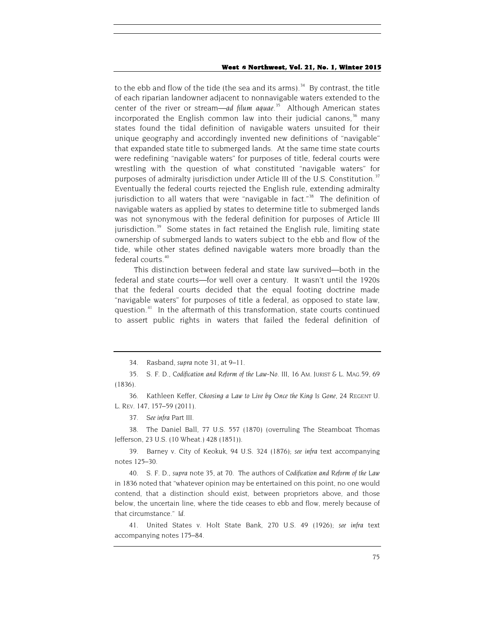to the ebb and flow of the tide (the sea and its arms).<sup>[34](#page-7-0)</sup> By contrast, the title of each riparian landowner adjacent to nonnavigable waters extended to the center of the river or stream—*ad filum aquae*. [35](#page-7-1) Although American states incorporated the English common law into their judicial canons,  $36$  many states found the tidal definition of navigable waters unsuited for their unique geography and accordingly invented new definitions of "navigable" that expanded state title to submerged lands. At the same time state courts were redefining "navigable waters" for purposes of title, federal courts were wrestling with the question of what constituted "navigable waters" for purposes of admiralty jurisdiction under Article III of the U.S. Constitution.<sup>[37](#page-7-3)</sup> Eventually the federal courts rejected the English rule, extending admiralty jurisdiction to all waters that were "navigable in fact."<sup>[38](#page-7-4)</sup> The definition of navigable waters as applied by states to determine title to submerged lands was not synonymous with the federal definition for purposes of Article III jurisdiction.<sup>[39](#page-7-5)</sup> Some states in fact retained the English rule, limiting state ownership of submerged lands to waters subject to the ebb and flow of the tide, while other states defined navigable waters more broadly than the federal courts.<sup>[40](#page-7-6)</sup>

This distinction between federal and state law survived—both in the federal and state courts—for well over a century. It wasn't until the 1920s that the federal courts decided that the equal footing doctrine made "navigable waters" for purposes of title a federal, as opposed to state law, question.<sup>[41](#page-7-7)</sup> In the aftermath of this transformation, state courts continued to assert public rights in waters that failed the federal definition of

<span id="page-7-2"></span>36. Kathleen Keffer, *Choosing a Law to Live by Once the King Is Gone*, 24 REGENT U. L. REV. 147, 157–59 (2011).

37*. See infra* Part III.

<span id="page-7-4"></span><span id="page-7-3"></span>38. The Daniel Ball, 77 U.S. 557 (1870) (overruling The Steamboat Thomas Jefferson, 23 U.S. (10 Wheat.) 428 (1851)).

<span id="page-7-5"></span>39. Barney v. City of Keokuk, 94 U.S. 324 (1876); *see infra* text accompanying notes 125–30.

<span id="page-7-6"></span>40*.* S. F. D., *supra* note 35, at 70. The authors of *Codification and Reform of the Law* in 1836 noted that "whatever opinion may be entertained on this point, no one would contend, that a distinction should exist, between proprietors above, and those below, the uncertain line, where the tide ceases to ebb and flow, merely because of that circumstance." *Id.*

<span id="page-7-7"></span>41. United States v. Holt State Bank, 270 U.S. 49 (1926); *see infra* text accompanying notes 175–84.

<sup>34.</sup> Rasband, *supra* note 31, at 9–11.

<span id="page-7-1"></span><span id="page-7-0"></span><sup>35</sup>*. S. F. D., Codification and Reform of the Law-No. III*, 16 AM. JURIST & L. MAG.59, 69 (1836).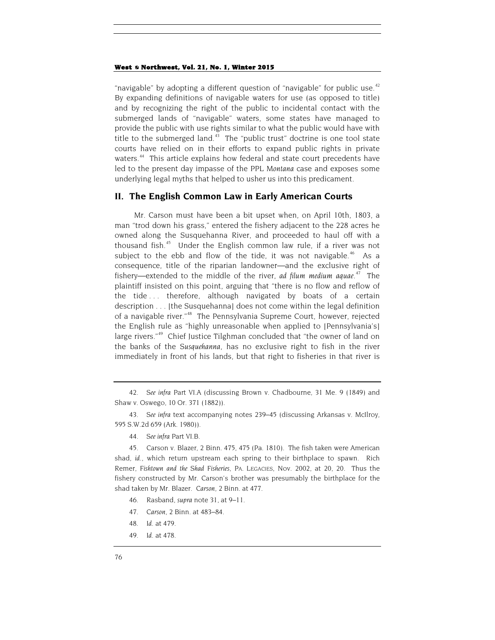"navigable" by adopting a different question of "navigable" for public use.<sup>[42](#page-8-0)</sup> By expanding definitions of navigable waters for use (as opposed to title) and by recognizing the right of the public to incidental contact with the submerged lands of "navigable" waters, some states have managed to provide the public with use rights similar to what the public would have with title to the submerged land. $43$  The "public trust" doctrine is one tool state courts have relied on in their efforts to expand public rights in private waters.<sup>[44](#page-8-2)</sup> This article explains how federal and state court precedents have led to the present day impasse of the *PPL Montana* case and exposes some underlying legal myths that helped to usher us into this predicament.

## **II. The English Common Law in Early American Courts**

Mr. Carson must have been a bit upset when, on April 10th, 1803, a man "trod down his grass," entered the fishery adjacent to the 228 acres he owned along the Susquehanna River, and proceeded to haul off with a thousand fish.[45](#page-8-3) Under the English common law rule, if a river was not subject to the ebb and flow of the tide, it was not navigable.<sup>[46](#page-8-4)</sup> As a consequence, title of the riparian landowner—and the exclusive right of fishery—extended to the middle of the river, *ad filum medium aquae*. [47](#page-8-5) The plaintiff insisted on this point, arguing that "there is no flow and reflow of the tide . . . therefore, although navigated by boats of a certain description . . . [the Susquehanna] does not come within the legal definition of a navigable river."[48](#page-8-6) The Pennsylvania Supreme Court, however, rejected the English rule as "highly unreasonable when applied to [Pennsylvania's] large rivers."<sup>[49](#page-8-7)</sup> Chief Justice Tilghman concluded that "the owner of land on the banks of the *Susquehanna*, has no exclusive right to fish in the river immediately in front of his lands, but that right to fisheries in that river is

44*. See infra* Part VI.B.

<span id="page-8-4"></span><span id="page-8-3"></span><span id="page-8-2"></span>45. Carson v. Blazer, 2 Binn. 475, 475 (Pa. 1810). The fish taken were American shad, *id.*, which return upstream each spring to their birthplace to spawn. Rich Remer, *Fishtown and the Shad Fisheries*, PA. LEGACIES, Nov. 2002, at 20, 20. Thus the fishery constructed by Mr. Carson's brother was presumably the birthplace for the shad taken by Mr. Blazer. *Carson*, 2 Binn. at 477.

- 46. Rasband, *supra* note 31, at 9–11.
- <span id="page-8-5"></span>47*. Carson*, 2 Binn. at 483–84.
- <span id="page-8-6"></span>48*. Id.* at 479.
- <span id="page-8-7"></span>49*. Id.* at 478.

<span id="page-8-0"></span><sup>42</sup>*. See infra* Part VI.A (discussing Brown v. Chadbourne, 31 Me. 9 (1849) and Shaw v. Oswego, 10 Or. 371 (1882)).

<span id="page-8-1"></span><sup>43</sup>*. See infra* text accompanying notes 239–45 (discussing Arkansas v. McIlroy, 595 S.W.2d 659 (Ark. 1980)).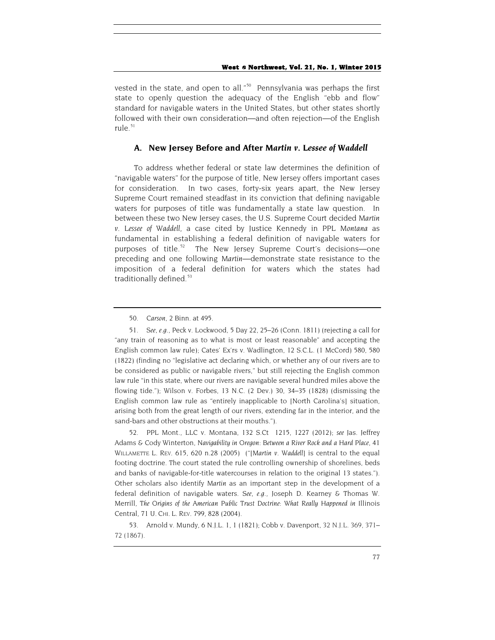vested in the state, and open to all."<sup>50</sup> Pennsylvania was perhaps the first state to openly question the adequacy of the English "ebb and flow" standard for navigable waters in the United States, but other states shortly followed with their own consideration—and often rejection—of the English rule. $51$ 

## **A. New Jersey Before and After** *Martin v. Lessee of Waddell*

To address whether federal or state law determines the definition of "navigable waters" for the purpose of title, New Jersey offers important cases for consideration. In two cases, forty-six years apart, the New Jersey Supreme Court remained steadfast in its conviction that defining navigable waters for purposes of title was fundamentally a state law question. In between these two New Jersey cases, the U.S. Supreme Court decided *Martin v. Lessee of Waddell*, a case cited by Justice Kennedy in *PPL Montana* as fundamental in establishing a federal definition of navigable waters for purposes of title.<sup>52</sup> The New Jersey Supreme Court's decisions-one preceding and one following *Martin*—demonstrate state resistance to the imposition of a federal definition for waters which the states had traditionally defined.<sup>[53](#page-9-3)</sup>

<span id="page-9-2"></span>52. PPL Mont., LLC v. Montana, 132 S.Ct 1215, 1227 (2012); *see* Jas. Jeffrey Adams & Cody Winterton, *Navigability in Oregon: Between a River Rock and a Hard Place*, 41 WILLAMETTE L. REV. 615, 620 n.28 (2005) ("[*Martin v. Waddell*] is central to the equal footing doctrine. The court stated the rule controlling ownership of shorelines, beds and banks of navigable-for-title watercourses in relation to the original 13 states."). Other scholars also identify *Martin* as an important step in the development of a federal definition of navigable waters. *See, e.g.*, Joseph D. Kearney & Thomas W. Merrill, *The Origins of the American Public Trust Doctrine: What Really Happened in* Illinois Central, 71 U. CHI. L. REV. 799, 828 (2004).

<sup>50</sup>*. Carson*, 2 Binn. at 495.

<span id="page-9-1"></span><span id="page-9-0"></span><sup>51</sup>*. See, e.g.*, Peck v. Lockwood, 5 Day 22, 25–26 (Conn. 1811) (rejecting a call for "any train of reasoning as to what is most or least reasonable" and accepting the English common law rule); Cates' Ex'rs v. Wadlington, 12 S.C.L. (1 McCord) 580, 580 (1822) (finding no "legislative act declaring which, or whether any of our rivers are to be considered as public or navigable rivers," but still rejecting the English common law rule "in this state, where our rivers are navigable several hundred miles above the flowing tide."); Wilson v. Forbes, 13 N.C. (2 Dev.) 30, 34–35 (1828) (dismissing the English common law rule as "entirely inapplicable to [North Carolina's] situation, arising both from the great length of our rivers, extending far in the interior, and the sand-bars and other obstructions at their mouths.").

<span id="page-9-3"></span><sup>53.</sup> Arnold v. Mundy, 6 N.J.L. 1, 1 (1821); Cobb v. Davenport, 32 N.J.L. 369, 371– 72 (1867).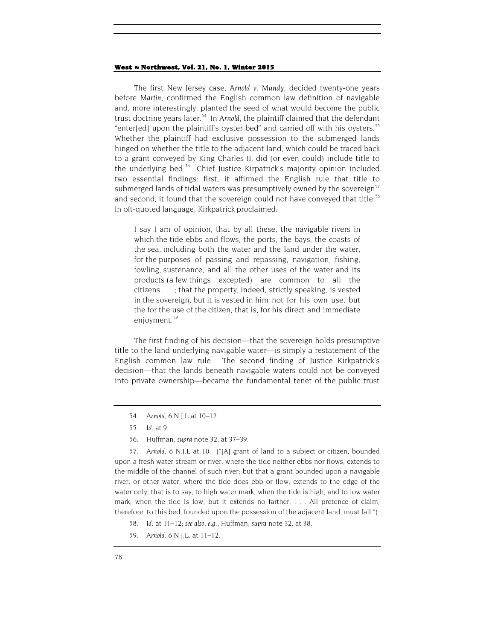The first New Jersey case, *Arnold v. Mundy*, decided twenty-one years before *Martin*, confirmed the English common law definition of navigable and, more interestingly, planted the seed of what would become the public trust doctrine years later.<sup>[54](#page-10-0)</sup> In Arnold, the plaintiff claimed that the defendant "enter[ed] upon the plaintiff's oyster bed" and carried off with his oysters.<sup>55</sup> Whether the plaintiff had exclusive possession to the submerged lands hinged on whether the title to the adjacent land, which could be traced back to a grant conveyed by King Charles II, did (or even could) include title to the underlying bed.<sup>56</sup> Chief Justice Kirpatrick's majority opinion included two essential findings: first, it affirmed the English rule that title to submerged lands of tidal waters was presumptively owned by the sovereign<sup>57</sup> and second, it found that the sovereign could not have conveyed that title.<sup>58</sup> In oft-quoted language, Kirkpatrick proclaimed:

I say I am of opinion, that by all these, the navigable rivers in which the tide ebbs and flows, the ports, the bays, the coasts of the sea, including both the water and the land under the water, for the purposes of passing and repassing, navigation, fishing, fowling, sustenance, and all the other uses of the water and its products (a few things excepted) are common to all the citizens . . . ; that the property, indeed, strictly speaking, is vested in the sovereign, but it is vested in him not for his own use, but the for the use of the citizen, that is, for his direct and immediate enjoyment.<sup>[59](#page-10-5)</sup>

The first finding of his decision—that the sovereign holds presumptive title to the land underlying navigable water—is simply a restatement of the English common law rule. The second finding of Justice Kirkpatrick's decision—that the lands beneath navigable waters could not be conveyed into private ownership—became the fundamental tenet of the public trust

- 54*. Arnold*, 6 N.J.L at 10–12.
- 55*. Id.* at 9.
- 56. Huffman, *supra* note 32, at 37–39.

<span id="page-10-3"></span><span id="page-10-2"></span><span id="page-10-1"></span><span id="page-10-0"></span>57*. Arnold*, 6 N.J.L at 10. ("[A] grant of land to a subject or citizen, bounded upon a fresh water stream or river, where the tide neither ebbs nor flows, extends to the middle of the channel of such river; but that a grant bounded upon a navigable river, or other water, where the tide does ebb or flow, extends to the edge of the water only, that is to say, to high water mark, when the tide is high, and to low water mark, when the tide is low, but it extends no farther. . . . All pretence of claim, therefore, to this bed, founded upon the possession of the adjacent land, must fail.").

- 58*. Id.* at 11–12; *see also, e.g.*, Huffman, *supra* note 32, at 38.
- <span id="page-10-5"></span><span id="page-10-4"></span>59*. Arnold*, 6 N.J.L. at 11–12.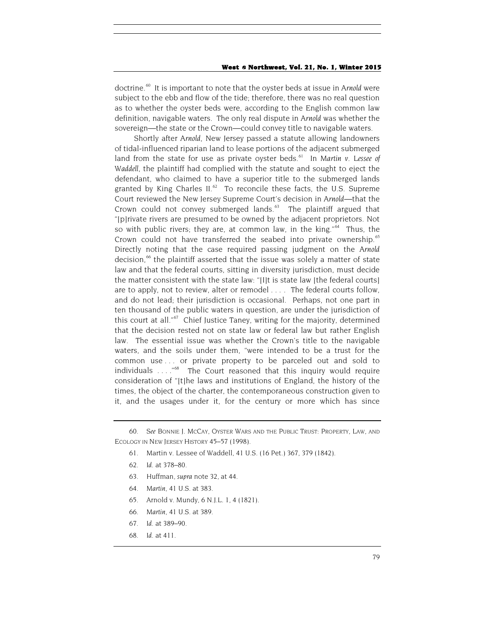doctrine.<sup>[60](#page-11-0)</sup> It is important to note that the oyster beds at issue in *Arnold* were subject to the ebb and flow of the tide; therefore, there was no real question as to whether the oyster beds were, according to the English common law definition, navigable waters. The only real dispute in *Arnold* was whether the sovereign—the state or the Crown—could convey title to navigable waters.

Shortly after *Arnold*, New Jersey passed a statute allowing landowners of tidal-influenced riparian land to lease portions of the adjacent submerged land from the state for use as private oyster beds. [61](#page-11-1) In *Martin v. Lessee of Waddell*, the plaintiff had complied with the statute and sought to eject the defendant, who claimed to have a superior title to the submerged lands granted by King Charles II. $^{62}$  To reconcile these facts, the U.S. Supreme Court reviewed the New Jersey Supreme Court's decision in *Arnold*—that the Crown could not convey submerged lands. $63$  The plaintiff argued that "[p]rivate rivers are presumed to be owned by the adjacent proprietors. Not so with public rivers; they are, at common law, in the king."<sup>[64](#page-11-4)</sup> Thus, the Crown could not have transferred the seabed into private ownership.<sup>[65](#page-11-5)</sup> Directly noting that the case required passing judgment on the *Arnold*  decision,<sup>[66](#page-11-6)</sup> the plaintiff asserted that the issue was solely a matter of state law and that the federal courts, sitting in diversity jurisdiction, must decide the matter consistent with the state law: "[I]t is state law [the federal courts] are to apply, not to review, alter or remodel . . . . The federal courts follow, and do not lead; their jurisdiction is occasional. Perhaps, not one part in ten thousand of the public waters in question, are under the jurisdiction of this court at all."<sup>67</sup> Chief Justice Taney, writing for the majority, determined that the decision rested not on state law or federal law but rather English law. The essential issue was whether the Crown's title to the navigable waters, and the soils under them, "were intended to be a trust for the common use . . . or private property to be parceled out and sold to individuals ...."<sup>[68](#page-11-8)</sup> The Court reasoned that this inquiry would require consideration of "[t]he laws and institutions of England, the history of the times, the object of the charter, the contemporaneous construction given to it, and the usages under it, for the century or more which has since

- 61. Martin v. Lessee of Waddell, 41 U.S. (16 Pet.) 367, 379 (1842).
- 62*. Id.* at 378–80.
- 63. Huffman, *supra* note [32,](#page-6-5) at 44.
- <span id="page-11-5"></span>64*. Martin*, 41 U.S. at 383.
- 65. Arnold v. Mundy, 6 N.J.L. 1, 4 (1821).
- <span id="page-11-6"></span>66*. Martin*, 41 U.S. at 389.
- <span id="page-11-7"></span>67*. Id.* at 389–90.
- <span id="page-11-8"></span>68*. Id.* at 411.

<span id="page-11-4"></span><span id="page-11-3"></span><span id="page-11-2"></span><span id="page-11-1"></span><span id="page-11-0"></span><sup>60</sup>*. See* BONNIE J. MCCAY, OYSTER WARS AND THE PUBLIC TRUST: PROPERTY, LAW, AND ECOLOGY IN NEW JERSEY HISTORY 45–57 (1998).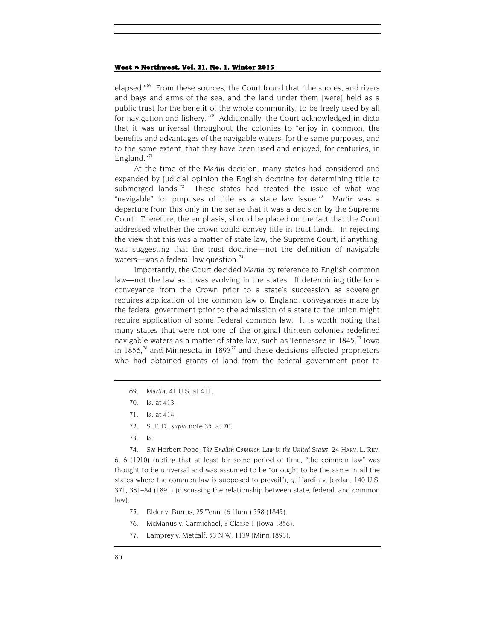elapsed."<sup>[69](#page-12-0)</sup> From these sources, the Court found that "the shores, and rivers and bays and arms of the sea, and the land under them [were] held as a public trust for the benefit of the whole community, to be freely used by all for navigation and fishery."<sup>70</sup> Additionally, the Court acknowledged in dicta that it was universal throughout the colonies to "enjoy in common, the benefits and advantages of the navigable waters, for the same purposes, and to the same extent, that they have been used and enjoyed, for centuries, in England."<sup>[71](#page-12-2)</sup>

At the time of the *Martin* decision, many states had considered and expanded by judicial opinion the English doctrine for determining title to submerged lands.<sup>[72](#page-12-3)</sup> These states had treated the issue of what was "navigable" for purposes of title as a state law issue.[73](#page-12-4) *Martin* was a departure from this only in the sense that it was a decision by the Supreme Court. Therefore, the emphasis, should be placed on the fact that the Court addressed whether the crown could convey title in trust lands. In rejecting the view that this was a matter of state law, the Supreme Court, if anything, was suggesting that the trust doctrine—not the definition of navigable waters—was a federal law question.<sup>[74](#page-12-5)</sup>

Importantly, the Court decided *Martin* by reference to English common law—not the law as it was evolving in the states. If determining title for a conveyance from the Crown prior to a state's succession as sovereign requires application of the common law of England, conveyances made by the federal government prior to the admission of a state to the union might require application of some Federal common law. It is worth noting that many states that were not one of the original thirteen colonies redefined navigable waters as a matter of state law, such as Tennessee in  $1845$ ,<sup>75</sup> Iowa in 1856,<sup>[76](#page-12-7)</sup> and Minnesota in 1893<sup>[77](#page-12-8)</sup> and these decisions effected proprietors who had obtained grants of land from the federal government prior to

- <span id="page-12-0"></span>69*. Martin*, 41 U.S. at 411.
- 70*. Id.* at 413.
- 71*. Id.* at 414.
- 72*.* S. F. D., *supra* note 35, at 70.
- 73*. Id.*

74*. See* Herbert Pope, *The English Common Law in the United States*, 24 HARV. L. REV.

<span id="page-12-7"></span><span id="page-12-6"></span><span id="page-12-5"></span><span id="page-12-4"></span><span id="page-12-3"></span><span id="page-12-2"></span><span id="page-12-1"></span>6, 6 (1910) (noting that at least for some period of time, "the common law" was thought to be universal and was assumed to be "or ought to be the same in all the states where the common law is supposed to prevail"); *cf.* Hardin v. Jordan, 140 U.S. 371, 381–84 (1891) (discussing the relationship between state, federal, and common law).

- 75. Elder v. Burrus, 25 Tenn. (6 Hum.) 358 (1845).
- 76. McManus v. Carmichael, 3 Clarke 1 (Iowa 1856).
- <span id="page-12-8"></span>77. Lamprey v. Metcalf, 53 N.W. 1139 (Minn.1893).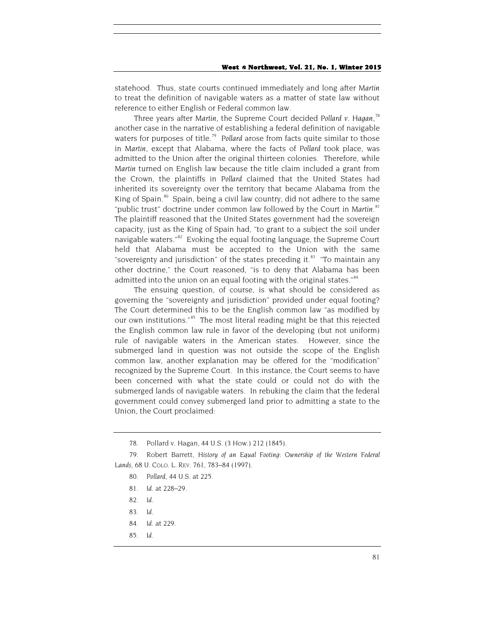statehood. Thus, state courts continued immediately and long after *Martin* to treat the definition of navigable waters as a matter of state law without reference to either English or Federal common law.

<span id="page-13-8"></span>Three years after *Martin*, the Supreme Court decided *Pollard v. Hagan*, [78](#page-13-0) another case in the narrative of establishing a federal definition of navigable waters for purposes of title.<sup>79</sup> Pollard arose from facts quite similar to those in *Martin*, except that Alabama, where the facts of *Pollard* took place, was admitted to the Union after the original thirteen colonies. Therefore, while *Martin* turned on English law because the title claim included a grant from the Crown, the plaintiffs in *Pollard* claimed that the United States had inherited its sovereignty over the territory that became Alabama from the King of Spain. $80$  Spain, being a civil law country, did not adhere to the same "public trust" doctrine under common law followed by the Court in *Martin*. [81](#page-13-3) The plaintiff reasoned that the United States government had the sovereign capacity, just as the King of Spain had, "to grant to a subject the soil under navigable waters."<sup>[82](#page-13-4)</sup> Evoking the equal footing language, the Supreme Court held that Alabama must be accepted to the Union with the same "sovereignty and jurisdiction" of the states preceding it. $83$  "To maintain any other doctrine," the Court reasoned, "is to deny that Alabama has been admitted into the union on an equal footing with the original states."<sup>[84](#page-13-6)</sup>

The ensuing question, of course, is what should be considered as governing the "sovereignty and jurisdiction" provided under equal footing? The Court determined this to be the English common law "as modified by our own institutions."<sup>[85](#page-13-7)</sup> The most literal reading might be that this rejected the English common law rule in favor of the developing (but not uniform) rule of navigable waters in the American states. However, since the submerged land in question was not outside the scope of the English common law, another explanation may be offered for the "modification" recognized by the Supreme Court. In this instance, the Court seems to have been concerned with what the state could or could not do with the submerged lands of navigable waters. In rebuking the claim that the federal government could convey submerged land prior to admitting a state to the Union, the Court proclaimed:

78. Pollard v. Hagan, 44 U.S. (3 How.) 212 (1845).

<span id="page-13-5"></span><span id="page-13-4"></span><span id="page-13-3"></span><span id="page-13-2"></span><span id="page-13-1"></span><span id="page-13-0"></span>79. Robert Barrett, *History of an Equal Footing: Ownership of the Western Federal Lands*, 68 U. COLO. L. REV. 761, 783–84 (1997).

- 80*. Pollard*, 44 U.S. at 225.
- 81*. Id.* at 228–29.
- 82*. Id.*
- 83*. Id.*
- <span id="page-13-6"></span>84*. Id.* at 229.
- <span id="page-13-7"></span>85*. Id.*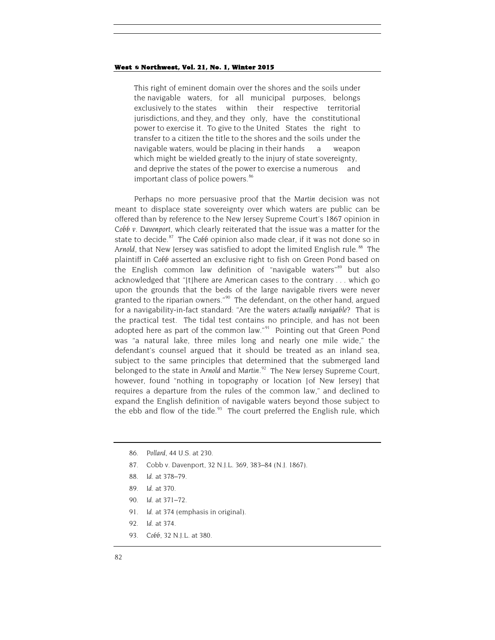This right of eminent domain over the shores and the soils under the navigable waters, for all municipal purposes, belongs exclusively to the states within their respective territorial jurisdictions, and they, and they only, have the constitutional power to exercise it. To give to the United States the right to transfer to a citizen the title to the shores and the soils under the navigable waters, would be placing in their hands a weapon which might be wielded greatly to the injury of state sovereignty, and deprive the states of the power to exercise a numerous and important class of police powers.<sup>[86](#page-14-0)</sup>

Perhaps no more persuasive proof that the *Martin* decision was not meant to displace state sovereignty over which waters are public can be offered than by reference to the New Jersey Supreme Court's 1867 opinion in *Cobb v. Davenport,* which clearly reiterated that the issue was a matter for the state to decide.<sup>87</sup> The *Cobb* opinion also made clear, if it was not done so in Arnold, that New Jersey was satisfied to adopt the limited English rule.<sup>[88](#page-14-2)</sup> The plaintiff in *Cobb* asserted an exclusive right to fish on Green Pond based on the English common law definition of "navigable waters"<sup>[89](#page-14-3)</sup> but also acknowledged that "[t]here are American cases to the contrary . . . which go upon the grounds that the beds of the large navigable rivers were never granted to the riparian owners."<sup>90</sup> The defendant, on the other hand, argued for a navigability-in-fact standard: "Are the waters *actually navigable*? That is the practical test. The tidal test contains no principle, and has not been adopted here as part of the common law." $1^{91}$  Pointing out that Green Pond was "a natural lake, three miles long and nearly one mile wide," the defendant's counsel argued that it should be treated as an inland sea, subject to the same principles that determined that the submerged land belonged to the state in *Arnold* and *Martin*. [92](#page-14-6) The New Jersey Supreme Court, however, found "nothing in topography or location [of New Jersey] that requires a departure from the rules of the common law," and declined to expand the English definition of navigable waters beyond those subject to the ebb and flow of the tide. $93$  The court preferred the English rule, which

- <span id="page-14-2"></span><span id="page-14-1"></span>87. Cobb v. Davenport, 32 N.J.L. 369, 383–84 (N.J. 1867).
- 88*. Id.* at 378–79.
- <span id="page-14-3"></span>89*. Id.* at 370.
- <span id="page-14-4"></span>90*. Id.* at 371–72.
- <span id="page-14-5"></span>91*. Id.* at 374 (emphasis in original).
- 92*. Id.* at 374.
- <span id="page-14-7"></span><span id="page-14-6"></span>93*. Cobb*, 32 N.J.L. at 380.

<span id="page-14-0"></span><sup>86</sup>*. Pollard*, 44 U.S. at 230.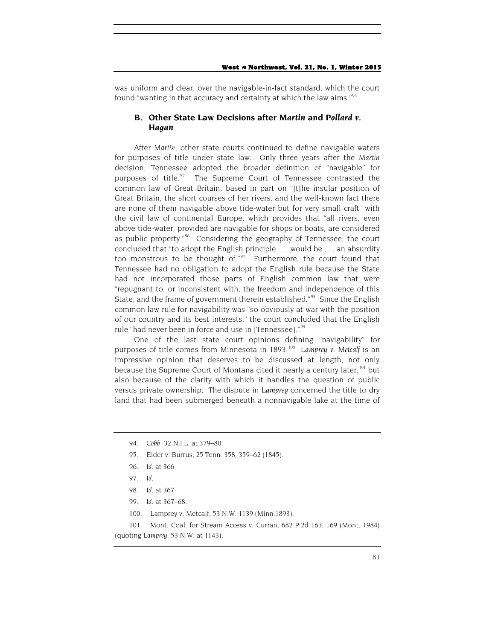was uniform and clear, over the navigable-in-fact standard, which the court found "wanting in that accuracy and certainty at which the law aims."<sup>[94](#page-15-0)</sup>

## **B. Other State Law Decisions after** *Martin* **and** *Pollard v. Hagan*

After *Martin*, other state courts continued to define navigable waters for purposes of title under state law. Only three years after the *Martin* decision, Tennessee adopted the broader definition of "navigable" for purposes of title.<sup>[95](#page-15-1)</sup> The Supreme Court of Tennessee contrasted the common law of Great Britain, based in part on "[t]he insular position of Great Britain, the short courses of her rivers, and the well-known fact there are none of them navigable above tide-water but for very small craft" with the civil law of continental Europe, which provides that "all rivers, even above tide-water, provided are navigable for shops or boats, are considered as public property."[96](#page-15-2) Considering the geography of Tennessee, the court concluded that "to adopt the English principle . . . would be . . . an absurdity too monstrous to be thought of." $97$  Furthermore, the court found that Tennessee had no obligation to adopt the English rule because the State had not incorporated those parts of English common law that were "repugnant to, or inconsistent with, the freedom and independence of this State, and the frame of government therein established."<sup>[98](#page-15-4)</sup> Since the English common law rule for navigability was "so obviously at war with the position of our country and its best interests," the court concluded that the English rule "had never been in force and use in [Tennessee]."[99](#page-15-5)

One of the last state court opinions defining "navigability" for purposes of title comes from Minnesota in 1893.<sup>[100](#page-15-6)</sup> *Lamprey v. Metcalf* is an impressive opinion that deserves to be discussed at length, not only because the Supreme Court of Montana cited it nearly a century later, <sup>[101](#page-15-7)</sup> but also because of the clarity with which it handles the question of public versus private ownership. The dispute in *Lamprey* concerned the title to dry land that had been submerged beneath a nonnavigable lake at the time of

- <span id="page-15-1"></span>95. Elder v. Burrus, 25 Tenn. 358, 359–62 (1845).
- <span id="page-15-2"></span>96*. Id.* at 366.

- 98*. Id.* at 367
- 99*. Id.* at 367–68.
- 100. Lamprey v. Metcalf, 53 N.W. 1139 (Minn.1893).

<span id="page-15-7"></span><span id="page-15-6"></span><span id="page-15-5"></span><span id="page-15-4"></span><span id="page-15-3"></span>101. Mont. Coal. for Stream Access v. Curran, 682 P.2d 163, 169 (Mont. 1984) (quoting *Lamprey*, 53 N.W. at 1143).

<span id="page-15-0"></span><sup>94</sup>*. Cobb*, 32 N.J.L. at 379–80.

<sup>97</sup>*. Id.*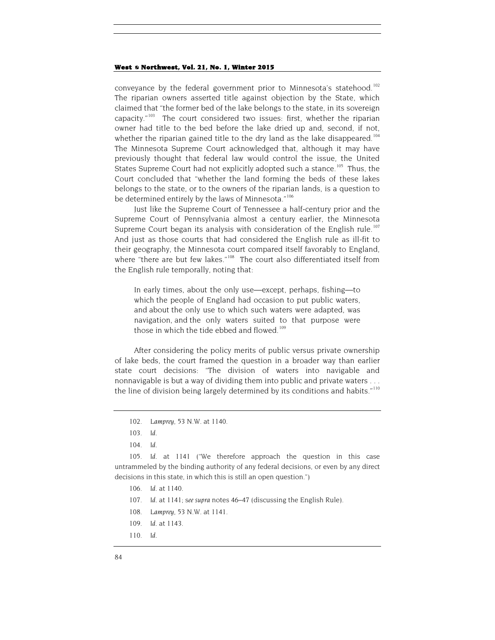conveyance by the federal government prior to Minnesota's statehood.<sup>[102](#page-16-0)</sup> The riparian owners asserted title against objection by the State, which claimed that "the former bed of the lake belongs to the state, in its sovereign capacity." $103$  The court considered two issues: first, whether the riparian owner had title to the bed before the lake dried up and, second, if not, whether the riparian gained title to the dry land as the lake disappeared.<sup>[104](#page-16-2)</sup> The Minnesota Supreme Court acknowledged that, although it may have previously thought that federal law would control the issue, the United States Supreme Court had not explicitly adopted such a stance.<sup>105</sup> Thus, the Court concluded that "whether the land forming the beds of these lakes belongs to the state, or to the owners of the riparian lands, is a question to be determined entirely by the laws of Minnesota."<sup>[106](#page-16-4)</sup>

Just like the Supreme Court of Tennessee a half-century prior and the Supreme Court of Pennsylvania almost a century earlier, the Minnesota Supreme Court began its analysis with consideration of the English rule.<sup>[107](#page-16-5)</sup> And just as those courts that had considered the English rule as ill-fit to their geography, the Minnesota court compared itself favorably to England, where "there are but few lakes."<sup>108</sup> The court also differentiated itself from the English rule temporally, noting that:

In early times, about the only use—except, perhaps, fishing—to which the people of England had occasion to put public waters, and about the only use to which such waters were adapted, was navigation, and the only waters suited to that purpose were those in which the tide ebbed and flowed.<sup>109</sup>

After considering the policy merits of public versus private ownership of lake beds, the court framed the question in a broader way than earlier state court decisions: "The division of waters into navigable and nonnavigable is but a way of dividing them into public and private waters . . . the line of division being largely determined by its conditions and habits."<sup>[110](#page-16-8)</sup>

<span id="page-16-6"></span><span id="page-16-5"></span><span id="page-16-4"></span><span id="page-16-3"></span><span id="page-16-2"></span><span id="page-16-1"></span><span id="page-16-0"></span>105*. Id.* at 1141 ("We therefore approach the question in this case untrammeled by the binding authority of any federal decisions, or even by any direct decisions in this state, in which this is still an open question.")

- 106*. Id.* at 1140.
- 107*. Id.* at 1141; s*ee supra* notes 46–47 (discussing the English Rule).
- 108*. Lamprey*, 53 N.W. at 1141.
- <span id="page-16-7"></span>109*. Id.* at 1143.
- <span id="page-16-8"></span>110*. Id.*

<sup>102</sup>*. Lamprey*, 53 N.W. at 1140.

<sup>103</sup>*. Id.*

<sup>104</sup>*. Id.*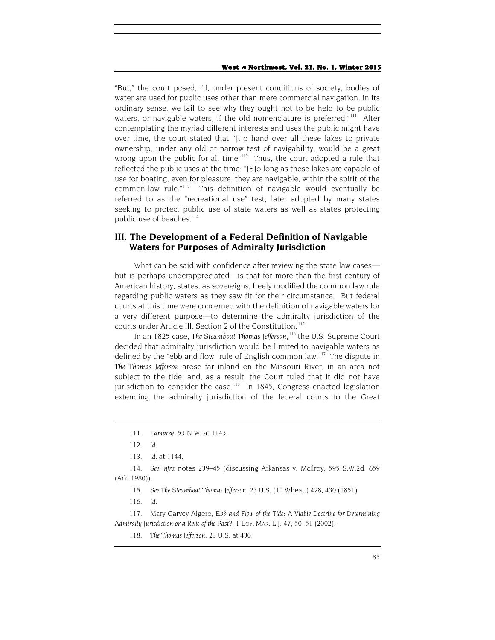"But," the court posed, "if, under present conditions of society, bodies of water are used for public uses other than mere commercial navigation, in its ordinary sense, we fail to see why they ought not to be held to be public waters, or navigable waters, if the old nomenclature is preferred."<sup>111</sup> After contemplating the myriad different interests and uses the public might have over time, the court stated that "[t]o hand over all these lakes to private ownership, under any old or narrow test of navigability, would be a great wrong upon the public for all time"<sup>112</sup> Thus, the court adopted a rule that reflected the public uses at the time: "[S]o long as these lakes are capable of use for boating, even for pleasure, they are navigable, within the spirit of the common-law rule."[113](#page-17-2) This definition of navigable would eventually be referred to as the "recreational use" test, later adopted by many states seeking to protect public use of state waters as well as states protecting public use of beaches.<sup>[114](#page-17-3)</sup>

## **III. The Development of a Federal Definition of Navigable Waters for Purposes of Admiralty Jurisdiction**

What can be said with confidence after reviewing the state law cases but is perhaps underappreciated—is that for more than the first century of American history, states, as sovereigns, freely modified the common law rule regarding public waters as they saw fit for their circumstance. But federal courts at this time were concerned with the definition of navigable waters for a very different purpose—to determine the admiralty jurisdiction of the courts under Article III, Section 2 of the Constitution.<sup>[115](#page-17-4)</sup>

In an 1825 case, *The Steamboat Thomas Jefferson*, [116](#page-17-5) the U.S. Supreme Court decided that admiralty jurisdiction would be limited to navigable waters as defined by the "ebb and flow" rule of English common law.<sup>117</sup> The dispute in *The Thomas Jefferson* arose far inland on the Missouri River, in an area not subject to the tide, and, as a result, the Court ruled that it did not have jurisdiction to consider the case.<sup>[118](#page-17-7)</sup> In 1845, Congress enacted legislation extending the admiralty jurisdiction of the federal courts to the Great

115*. See The Steamboat Thomas Jefferson*, 23 U.S. (10 Wheat.) 428, 430 (1851).

<sup>111</sup>*. Lamprey*, 53 N.W. at 1143.

<sup>112</sup>*. Id.*

<sup>113</sup>*. Id.* at 1144.

<span id="page-17-4"></span><span id="page-17-3"></span><span id="page-17-2"></span><span id="page-17-1"></span><span id="page-17-0"></span><sup>114</sup>*. See infra* notes 239–45 (discussing Arkansas v. McIlroy, 595 S.W.2d. 659 (Ark. 1980)).

<sup>116</sup>*. Id.*

<span id="page-17-7"></span><span id="page-17-6"></span><span id="page-17-5"></span><sup>117.</sup> Mary Garvey Algero, *Ebb and Flow of the Tide: A Viable Doctrine for Determining Admiralty Jurisdiction or a Relic of the Past?*, 1 LOY. MAR. L.J. 47, 50–51 (2002).

<sup>118</sup>*. The Thomas Jefferson*, 23 U.S. at 430.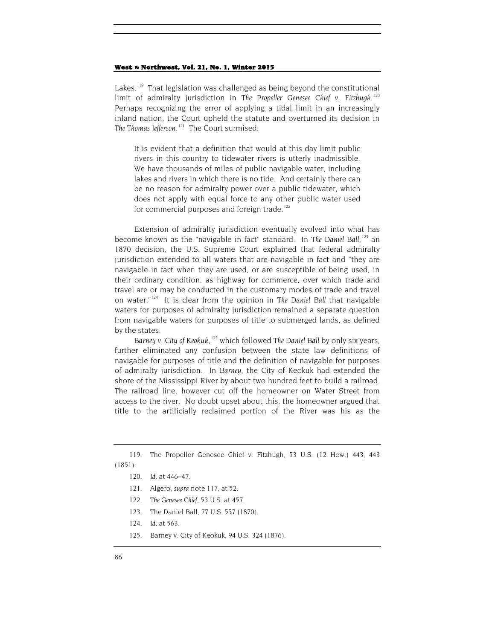Lakes.<sup>119</sup> That legislation was challenged as being beyond the constitutional limit of admiralty jurisdiction in *The Propeller Genesee Chief v. Fitzhugh*. [120](#page-18-1) Perhaps recognizing the error of applying a tidal limit in an increasingly inland nation, the Court upheld the statute and overturned its decision in *The Thomas Jefferson*. [121](#page-18-2) The Court surmised:

It is evident that a definition that would at this day limit public rivers in this country to tidewater rivers is utterly inadmissible. We have thousands of miles of public navigable water, including lakes and rivers in which there is no tide. And certainly there can be no reason for admiralty power over a public tidewater, which does not apply with equal force to any other public water used for commercial purposes and foreign trade.<sup>[122](#page-18-3)</sup>

Extension of admiralty jurisdiction eventually evolved into what has become known as the "navigable in fact" standard. In The Daniel Ball,<sup>[123](#page-18-4)</sup> an 1870 decision, the U.S. Supreme Court explained that federal admiralty jurisdiction extended to all waters that are navigable in fact and "they are navigable in fact when they are used, or are susceptible of being used, in their ordinary condition, as highway for commerce, over which trade and travel are or may be conducted in the customary modes of trade and travel on water."[124](#page-18-5) It is clear from the opinion in *The Daniel Ball* that navigable waters for purposes of admiralty jurisdiction remained a separate question from navigable waters for purposes of title to submerged lands, as defined by the states.

Barney v. City of Keokuk,<sup>[125](#page-18-6)</sup> which followed The Daniel Ball by only six years, further eliminated any confusion between the state law definitions of navigable for purposes of title and the definition of navigable for purposes of admiralty jurisdiction. In *Barney*, the City of Keokuk had extended the shore of the Mississippi River by about two hundred feet to build a railroad. The railroad line, however cut off the homeowner on Water Street from access to the river. No doubt upset about this, the homeowner argued that title to the artificially reclaimed portion of the River was his as the

- 122*. The Genesee Chief*, 53 U.S. at 457.
- 123. The Daniel Ball, 77 U.S. 557 (1870).

<span id="page-18-6"></span><span id="page-18-5"></span>125. Barney v. City of Keokuk, 94 U.S. 324 (1876).

<span id="page-18-4"></span><span id="page-18-3"></span><span id="page-18-2"></span><span id="page-18-1"></span><span id="page-18-0"></span><sup>119.</sup> The Propeller Genesee Chief v. Fitzhugh, 53 U.S. (12 How.) 443, 443 (1851).

<sup>120</sup>*. Id.* at 446–47.

<sup>121.</sup> Algero, *supra* note 117, at 52.

<sup>124</sup>*. Id.* at 563.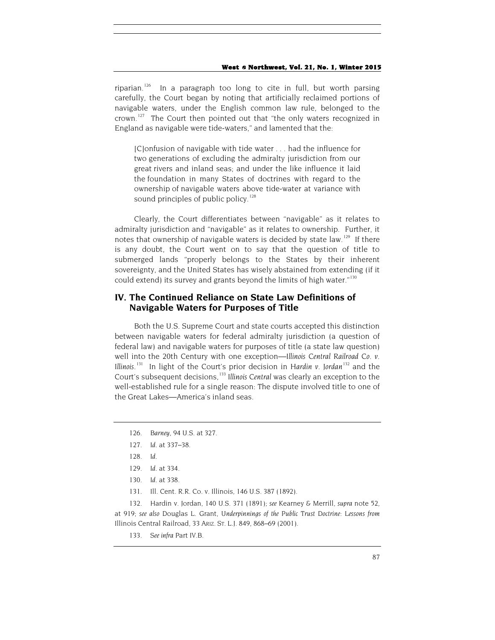riparian.<sup>126</sup> In a paragraph too long to cite in full, but worth parsing carefully, the Court began by noting that artificially reclaimed portions of navigable waters, under the English common law rule, belonged to the crown.<sup>127</sup> The Court then pointed out that "the only waters recognized in England as navigable were tide-waters," and lamented that the:

[C]onfusion of navigable with tide water . . . had the influence for two generations of excluding the admiralty jurisdiction from our great rivers and inland seas; and under the like influence it laid the foundation in many States of doctrines with regard to the ownership of navigable waters above tide-water at variance with sound principles of public policy.<sup>[128](#page-19-2)</sup>

Clearly, the Court differentiates between "navigable" as it relates to admiralty jurisdiction and "navigable" as it relates to ownership. Further, it notes that ownership of navigable waters is decided by state law.<sup>[129](#page-19-3)</sup> If there is any doubt, the Court went on to say that the question of title to submerged lands "properly belongs to the States by their inherent sovereignty, and the United States has wisely abstained from extending (if it could extend) its survey and grants beyond the limits of high water." $130$ 

## **IV. The Continued Reliance on State Law Definitions of Navigable Waters for Purposes of Title**

Both the U.S. Supreme Court and state courts accepted this distinction between navigable waters for federal admiralty jurisdiction (a question of federal law) and navigable waters for purposes of title (a state law question) well into the 20th Century with one exception—*Illinois Central Railroad Co. v. Illinois*. [131](#page-19-5) In light of the Court's prior decision in *Hardin v. Jordan*[132](#page-19-6) and the Court's subsequent decisions,<sup>[133](#page-19-7)</sup> Illinois Central was clearly an exception to the well-established rule for a single reason: The dispute involved title to one of the Great Lakes—America's inland seas.

131. Ill. Cent. R.R. Co. v. Illinois, 146 U.S. 387 (1892).

<span id="page-19-7"></span><span id="page-19-6"></span><span id="page-19-5"></span><span id="page-19-4"></span><span id="page-19-3"></span><span id="page-19-2"></span><span id="page-19-1"></span>132. Hardin v. Jordan, 140 U.S. 371 (1891); *see* Kearney & Merrill, *supra* note 52, at 919; *see also* Douglas L. Grant, *Underpinnings of the Public Trust Doctrine: Lessons from*  Illinois Central Railroad, 33 ARIZ. ST. L.J. 849, 868–69 (2001).

<span id="page-19-0"></span><sup>126</sup>*. Barney*, 94 U.S. at 327.

<sup>127</sup>*. Id.* at 337–38.

<sup>128</sup>*. Id.*

<sup>129</sup>*. Id.* at 334.

<sup>130</sup>*. Id.* at 338.

<sup>133</sup>*. See infra* Part IV.B.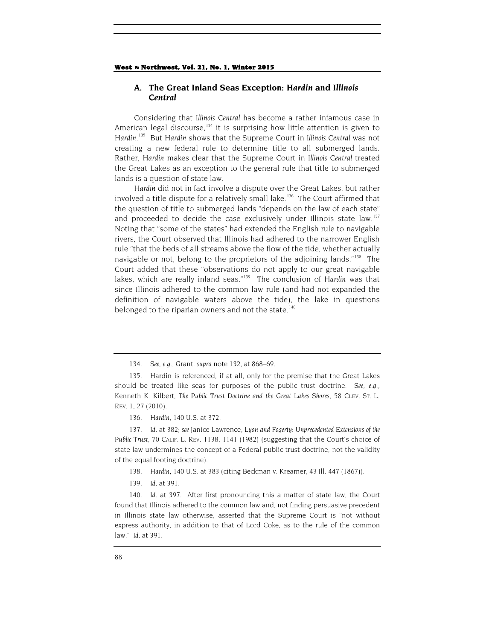## **A. The Great Inland Seas Exception:** *Hardin* **and** *Illinois Central*

Considering that *Illinois Central* has become a rather infamous case in American legal discourse,  $134$  it is surprising how little attention is given to Hardin.<sup>[135](#page-20-1)</sup> But Hardin shows that the Supreme Court in *Illinois Central* was not creating a new federal rule to determine title to all submerged lands. Rather, *Hardin* makes clear that the Supreme Court in *Illinois Central* treated the Great Lakes as an exception to the general rule that title to submerged lands is a question of state law.

*Hardin* did not in fact involve a dispute over the Great Lakes, but rather involved a title dispute for a relatively small lake. [136](#page-20-2) The Court affirmed that the question of title to submerged lands "depends on the law of each state" and proceeded to decide the case exclusively under Illinois state law.<sup>[137](#page-20-3)</sup> Noting that "some of the states" had extended the English rule to navigable rivers, the Court observed that Illinois had adhered to the narrower English rule "that the beds of all streams above the flow of the tide, whether actually navigable or not, belong to the proprietors of the adjoining lands."<sup>[138](#page-20-4)</sup> The Court added that these "observations do not apply to our great navigable lakes, which are really inland seas."[139](#page-20-5) The conclusion of *Hardin* was that since Illinois adhered to the common law rule (and had not expanded the definition of navigable waters above the tide), the lake in questions belonged to the riparian owners and not the state.<sup>[140](#page-20-6)</sup>

136*. Hardin*, 140 U.S. at 372.

<span id="page-20-3"></span><span id="page-20-2"></span>137*. Id.* at 382; *see* Janice Lawrence, *Lyon and Fogerty: Unprecedented Extensions of the Public Trust*, 70 CALIF. L. REV. 1138, 1141 (1982) (suggesting that the Court's choice of state law undermines the concept of a Federal public trust doctrine, not the validity of the equal footing doctrine).

138*. Hardin*, 140 U.S. at 383 (citing Beckman v. Kreamer, 43 Ill. 447 (1867)).

139*. Id.* at 391.

<span id="page-20-6"></span><span id="page-20-5"></span><span id="page-20-4"></span>140*. Id.* at 397. After first pronouncing this a matter of state law, the Court found that Illinois adhered to the common law and, not finding persuasive precedent in Illinois state law otherwise, asserted that the Supreme Court is "not without express authority, in addition to that of Lord Coke, as to the rule of the common law." *Id.* at 391.

<sup>134</sup>*. See, e.g.*, Grant, *supra* note 132, at 868–69.

<span id="page-20-1"></span><span id="page-20-0"></span><sup>135.</sup> Hardin is referenced, if at all, only for the premise that the Great Lakes should be treated like seas for purposes of the public trust doctrine. *See, e.g.*, Kenneth K. Kilbert, *The Public Trust Doctrine and the Great Lakes Shores*, 58 CLEV. ST. L. REV. 1, 27 (2010).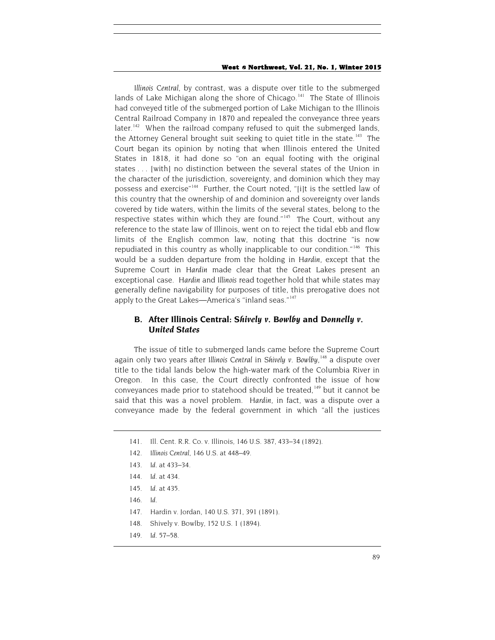*Illinois Central*, by contrast, was a dispute over title to the submerged lands of Lake Michigan along the shore of Chicago.<sup>141</sup> The State of Illinois had conveyed title of the submerged portion of Lake Michigan to the Illinois Central Railroad Company in 1870 and repealed the conveyance three years later.<sup>142</sup> When the railroad company refused to quit the submerged lands, the Attorney General brought suit seeking to quiet title in the state.<sup>143</sup> The Court began its opinion by noting that when Illinois entered the United States in 1818, it had done so "on an equal footing with the original states . . . [with] no distinction between the several states of the Union in the character of the jurisdiction, sovereignty, and dominion which they may possess and exercise"[144](#page-21-3) Further, the Court noted, "[i]t is the settled law of this country that the ownership of and dominion and sovereignty over lands covered by tide waters, within the limits of the several states, belong to the respective states within which they are found." $145$  The Court, without any reference to the state law of Illinois, went on to reject the tidal ebb and flow limits of the English common law, noting that this doctrine "is now repudiated in this country as wholly inapplicable to our condition."<sup>[146](#page-21-5)</sup> This would be a sudden departure from the holding in *Hardin*, except that the Supreme Court in *Hardin* made clear that the Great Lakes present an exceptional case. *Hardin* and *Illinois* read together hold that while states may generally define navigability for purposes of title, this prerogative does not apply to the Great Lakes—America's "inland seas."<sup>[147](#page-21-6)</sup>

## **B. After Illinois Central:** *Shively v. Bowlby* **and** *Donnelly v. United States*

The issue of title to submerged lands came before the Supreme Court again only two years after *Illinois Central* in *Shively v. Bowlby*, [148](#page-21-7) a dispute over title to the tidal lands below the high-water mark of the Columbia River in Oregon. In this case, the Court directly confronted the issue of how conveyances made prior to statehood should be treated,<sup>[149](#page-21-8)</sup> but it cannot be said that this was a novel problem. *Hardin*, in fact, was a dispute over a conveyance made by the federal government in which "all the justices

- <span id="page-21-0"></span>141. Ill. Cent. R.R. Co. v. Illinois, 146 U.S. 387, 433–34 (1892).
- <span id="page-21-2"></span><span id="page-21-1"></span>142*. Illinois Central*, 146 U.S. at 448–49.
- 143*. Id.* at 433–34.
- <span id="page-21-3"></span>144*. Id.* at 434.
- <span id="page-21-4"></span>145*. Id.* at 435.
- <span id="page-21-5"></span>146*. Id.*
- <span id="page-21-6"></span>147. Hardin v. Jordan, 140 U.S. 371, 391 (1891).
- <span id="page-21-7"></span>148. Shively v. Bowlby, 152 U.S. 1 (1894).
- <span id="page-21-8"></span>149*. Id.* 57–58.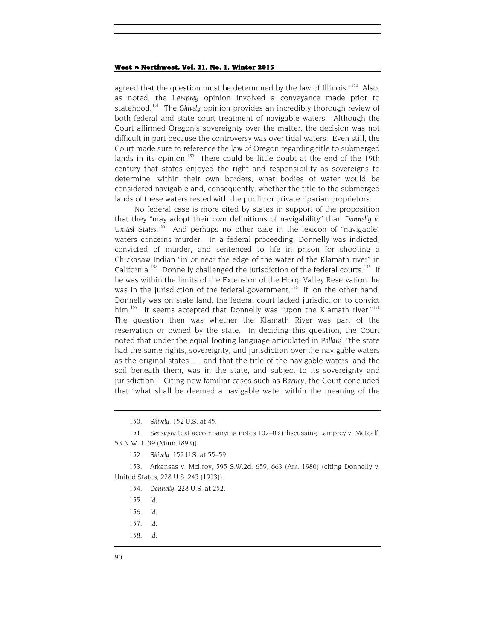agreed that the question must be determined by the law of Illinois."<sup>[150](#page-22-0)</sup> Also, as noted, the *Lamprey* opinion involved a conveyance made prior to statehood.[151](#page-22-1) The *Shively* opinion provides an incredibly thorough review of both federal and state court treatment of navigable waters. Although the Court affirmed Oregon's sovereignty over the matter, the decision was not difficult in part because the controversy was over tidal waters. Even still, the Court made sure to reference the law of Oregon regarding title to submerged lands in its opinion.<sup>[152](#page-22-2)</sup> There could be little doubt at the end of the 19th century that states enjoyed the right and responsibility as sovereigns to determine, within their own borders, what bodies of water would be considered navigable and, consequently, whether the title to the submerged lands of these waters rested with the public or private riparian proprietors.

No federal case is more cited by states in support of the proposition that they "may adopt their own definitions of navigability" than *Donnelly v. United States*. [153](#page-22-3) And perhaps no other case in the lexicon of "navigable" waters concerns murder. In a federal proceeding, Donnelly was indicted, convicted of murder, and sentenced to life in prison for shooting a Chickasaw Indian "in or near the edge of the water of the Klamath river" in California.<sup>[154](#page-22-4)</sup> Donnelly challenged the jurisdiction of the federal courts.<sup>155</sup> If he was within the limits of the Extension of the Hoop Valley Reservation, he was in the jurisdiction of the federal government.<sup>[156](#page-22-6)</sup> If, on the other hand, Donnelly was on state land, the federal court lacked jurisdiction to convict him.<sup>157</sup> It seems accepted that Donnelly was "upon the Klamath river."<sup>[158](#page-22-8)</sup> The question then was whether the Klamath River was part of the reservation or owned by the state. In deciding this question, the Court noted that under the equal footing language articulated in *Pollard*, "the state had the same rights, sovereignty, and jurisdiction over the navigable waters as the original states . . . and that the title of the navigable waters, and the soil beneath them, was in the state, and subject to its sovereignty and jurisdiction." Citing now familiar cases such as *Barney*, the Court concluded that "what shall be deemed a navigable water within the meaning of the

<span id="page-22-8"></span>158*. Id.*

<sup>150</sup>*. Shively*, 152 U.S. at 45.

<span id="page-22-1"></span><span id="page-22-0"></span><sup>151</sup>*. See supra* text accompanying notes 102–03 (discussing Lamprey v. Metcalf, 53 N.W. 1139 (Minn.1893)).

<sup>152</sup>*. Shively*, 152 U.S. at 55–59.

<span id="page-22-7"></span><span id="page-22-6"></span><span id="page-22-5"></span><span id="page-22-4"></span><span id="page-22-3"></span><span id="page-22-2"></span><sup>153.</sup> Arkansas v. McIlroy, 595 S.W.2d. 659, 663 (Ark. 1980) (citing Donnelly v. United States, 228 U.S. 243 (1913)).

<sup>154</sup>*. Donnelly*, 228 U.S. at 252.

<sup>155</sup>*. Id.*

<sup>156</sup>*. Id.*

<sup>157</sup>*. Id.*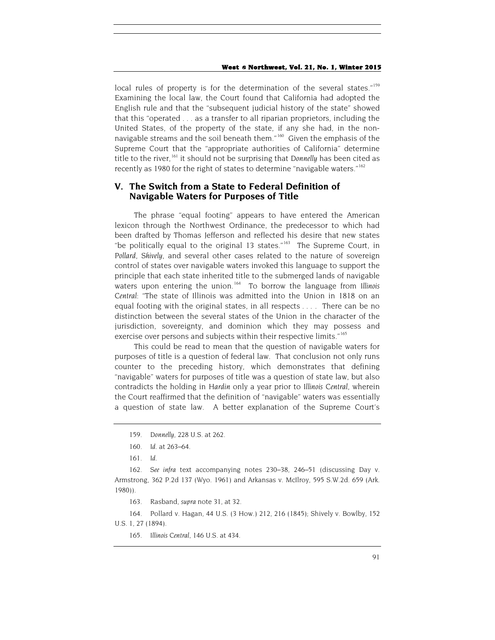local rules of property is for the determination of the several states."<sup>[159](#page-23-0)</sup> Examining the local law, the Court found that California had adopted the English rule and that the "subsequent judicial history of the state" showed that this "operated . . . as a transfer to all riparian proprietors, including the United States, of the property of the state, if any she had, in the non-navigable streams and the soil beneath them."<sup>[160](#page-23-1)</sup> Given the emphasis of the Supreme Court that the "appropriate authorities of California" determine title to the river, [161](#page-23-2) it should not be surprising that *Donnelly* has been cited as recently as 1980 for the right of states to determine "navigable waters."<sup>[162](#page-23-3)</sup>

## **V. The Switch from a State to Federal Definition of Navigable Waters for Purposes of Title**

The phrase "equal footing" appears to have entered the American lexicon through the Northwest Ordinance, the predecessor to which had been drafted by Thomas Jefferson and reflected his desire that new states "be politically equal to the original 13 states." $163$  The Supreme Court, in *Pollard*, *Shively*, and several other cases related to the nature of sovereign control of states over navigable waters invoked this language to support the principle that each state inherited title to the submerged lands of navigable waters upon entering the union.<sup>164</sup> To borrow the language from *Illinois Central*: "The state of Illinois was admitted into the Union in 1818 on an equal footing with the original states, in all respects . . . . There can be no distinction between the several states of the Union in the character of the jurisdiction, sovereignty, and dominion which they may possess and exercise over persons and subjects within their respective limits."<sup>[165](#page-23-6)</sup>

This could be read to mean that the question of navigable waters for purposes of title is a question of federal law. That conclusion not only runs counter to the preceding history, which demonstrates that defining "navigable" waters for purposes of title was a question of state law, but also contradicts the holding in *Hardin* only a year prior to *Illinois Central*, wherein the Court reaffirmed that the definition of "navigable" waters was essentially a question of state law. A better explanation of the Supreme Court's

<span id="page-23-6"></span><span id="page-23-5"></span><span id="page-23-4"></span>164. Pollard v. Hagan, 44 U.S. (3 How.) 212, 216 (1845); Shively v. Bowlby, 152 U.S. 1, 27 (1894).

165. *Illinois Central*, 146 U.S. at 434.

<sup>159</sup>*. Donnelly*, 228 U.S. at 262.

<sup>160</sup>*. Id.* at 263–64.

<sup>161</sup>*. Id.*

<span id="page-23-3"></span><span id="page-23-2"></span><span id="page-23-1"></span><span id="page-23-0"></span><sup>162</sup>*. See infra* text accompanying notes 230–38, 246–51 (discussing Day v. Armstrong, 362 P.2d 137 (Wyo. 1961) and Arkansas v. McIlroy, 595 S.W.2d. 659 (Ark. 1980)).

<sup>163.</sup> Rasband, *supra* note 31, at 32.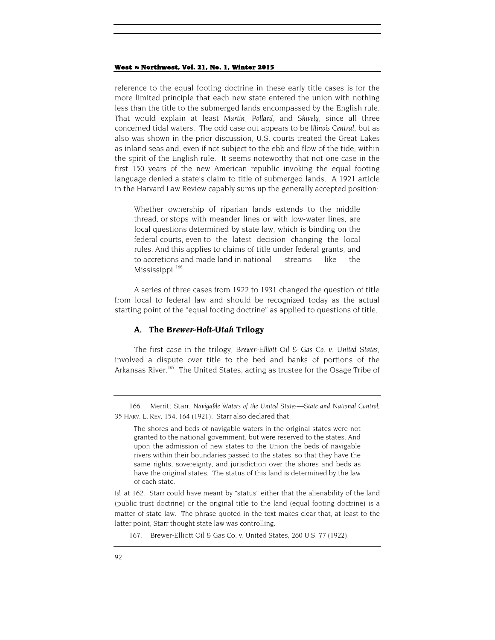reference to the equal footing doctrine in these early title cases is for the more limited principle that each new state entered the union with nothing less than the title to the submerged lands encompassed by the English rule. That would explain at least *Martin*, *Pollard*, and *Shively*, since all three concerned tidal waters. The odd case out appears to be *Illinois Central*, but as also was shown in the prior discussion, U.S. courts treated the Great Lakes as inland seas and, even if not subject to the ebb and flow of the tide, within the spirit of the English rule. It seems noteworthy that not one case in the first 150 years of the new American republic invoking the equal footing language denied a state's claim to title of submerged lands. A 1921 article in the Harvard Law Review capably sums up the generally accepted position:

Whether ownership of riparian lands extends to the middle thread, or stops with meander lines or with low-water lines, are local questions determined by state law, which is binding on the federal courts, even to the latest decision changing the local rules. And this applies to claims of title under federal grants, and to accretions and made land in national streams like the Mississippi.<sup>166</sup>

A series of three cases from 1922 to 1931 changed the question of title from local to federal law and should be recognized today as the actual starting point of the "equal footing doctrine" as applied to questions of title.

## **A. The** *Brewer-Holt-Utah* **Trilogy**

The first case in the trilogy, *Brewer-Elliott Oil & Gas Co. v. United States*, involved a dispute over title to the bed and banks of portions of the Arkansas River.<sup>[167](#page-24-1)</sup> The United States, acting as trustee for the Osage Tribe of

<span id="page-24-0"></span><sup>166.</sup> Merritt Starr, *Navigable Waters of the United States—State and National Control*, 35 HARV. L. REV. 154, 164 (1921). Starr also declared that:

The shores and beds of navigable waters in the original states were not granted to the national government, but were reserved to the states. And upon the admission of new states to the Union the beds of navigable rivers within their boundaries passed to the states, so that they have the same rights, sovereignty, and jurisdiction over the shores and beds as have the original states. The status of this land is determined by the law of each state.

<span id="page-24-1"></span>Id. at 162. Starr could have meant by "status" either that the alienability of the land (public trust doctrine) or the original title to the land (equal footing doctrine) is a matter of state law. The phrase quoted in the text makes clear that, at least to the latter point, Starr thought state law was controlling.

<sup>167.</sup> Brewer-Elliott Oil & Gas Co. v. United States, 260 U.S. 77 (1922).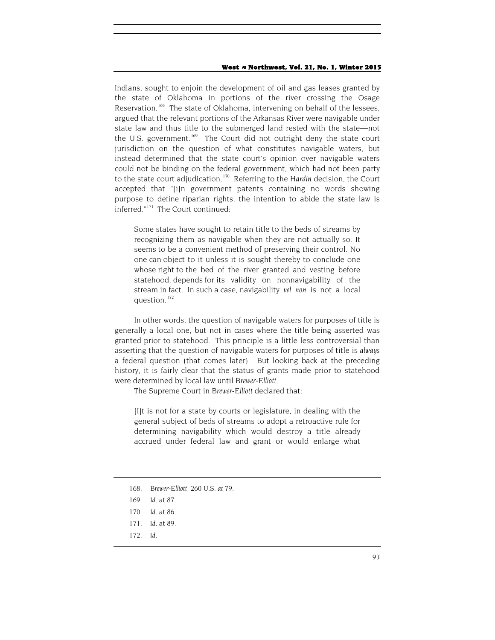Indians, sought to enjoin the development of oil and gas leases granted by the state of Oklahoma in portions of the river crossing the Osage Reservation.<sup>168</sup> The state of Oklahoma, intervening on behalf of the lessees, argued that the relevant portions of the Arkansas River were navigable under state law and thus title to the submerged land rested with the state—not the U.S. government.<sup>169</sup> The Court did not outright deny the state court jurisdiction on the question of what constitutes navigable waters, but instead determined that the state court's opinion over navigable waters could not be binding on the federal government, which had not been party to the state court adjudication.[170](#page-25-2) Referring to the *Hardin* decision, the Court accepted that "[i]n government patents containing no words showing purpose to define riparian rights, the intention to abide the state law is inferred."[171](#page-25-3) The Court continued:

Some states have sought to retain title to the beds of streams by recognizing them as navigable when they are not actually so. It seems to be a convenient method of preserving their control. No one can object to it unless it is sought thereby to conclude one whose right to the bed of the river granted and vesting before statehood, depends for its validity on nonnavigability of the stream in fact. In such a case, navigability *vel non* is not a local question.<sup>[172](#page-25-4)</sup>

In other words, the question of navigable waters for purposes of title is generally a local one, but not in cases where the title being asserted was granted prior to statehood. This principle is a little less controversial than asserting that the question of navigable waters for purposes of title is *always* a federal question (that comes later). But looking back at the preceding history, it is fairly clear that the status of grants made prior to statehood were determined by local law until *Brewer-Elliott*.

The Supreme Court in *Brewer-Elliott* declared that:

[I]t is not for a state by courts or legislature, in dealing with the general subject of beds of streams to adopt a retroactive rule for determining navigability which would destroy a title already accrued under federal law and grant or would enlarge what

<span id="page-25-4"></span>172*. Id.*

<span id="page-25-0"></span><sup>168</sup>*. Brewer-Elliott*, 260 U.S. *at* 79.

<span id="page-25-1"></span><sup>169</sup>*. Id.* at 87.

<span id="page-25-2"></span><sup>170</sup>*. Id.* at 86.

<span id="page-25-3"></span><sup>171</sup>*. Id.* at 89.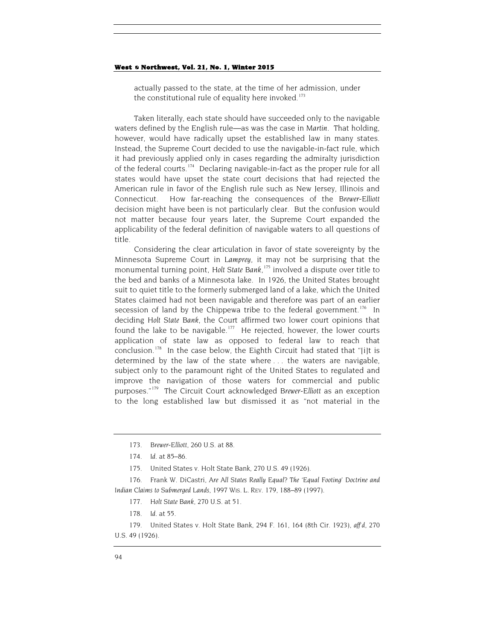actually passed to the state, at the time of her admission, under the constitutional rule of equality here invoked.<sup>173</sup>

Taken literally, each state should have succeeded only to the navigable waters defined by the English rule—as was the case in *Martin*. That holding, however, would have radically upset the established law in many states. Instead, the Supreme Court decided to use the navigable-in-fact rule, which it had previously applied only in cases regarding the admiralty jurisdiction of the federal courts.<sup>[174](#page-26-1)</sup> Declaring navigable-in-fact as the proper rule for all states would have upset the state court decisions that had rejected the American rule in favor of the English rule such as New Jersey, Illinois and Connecticut. How far-reaching the consequences of the *Brewer-Elliott*  decision might have been is not particularly clear. But the confusion would not matter because four years later, the Supreme Court expanded the applicability of the federal definition of navigable waters to all questions of title.

Considering the clear articulation in favor of state sovereignty by the Minnesota Supreme Court in *Lamprey*, it may not be surprising that the monumental turning point, *Holt State Bank*, [175](#page-26-2) involved a dispute over title to the bed and banks of a Minnesota lake. In 1926, the United States brought suit to quiet title to the formerly submerged land of a lake, which the United States claimed had not been navigable and therefore was part of an earlier secession of land by the Chippewa tribe to the federal government.<sup>[176](#page-26-3)</sup> In deciding *Holt State Bank*, the Court affirmed two lower court opinions that found the lake to be navigable.<sup>[177](#page-26-4)</sup> He rejected, however, the lower courts application of state law as opposed to federal law to reach that conclusion.<sup>178</sup> In the case below, the Eighth Circuit had stated that "[i]t is determined by the law of the state where . . . the waters are navigable, subject only to the paramount right of the United States to regulated and improve the navigation of those waters for commercial and public purposes."[179](#page-26-6) The Circuit Court acknowledged *Brewer-Elliott* as an exception to the long established law but dismissed it as "not material in the

175. United States v. Holt State Bank, 270 U.S. 49 (1926).

<span id="page-26-4"></span><span id="page-26-3"></span><span id="page-26-2"></span><span id="page-26-1"></span><span id="page-26-0"></span>176. Frank W. DiCastri, *Are All States Really Equal? The 'Equal Footing' Doctrine and Indian Claims to Submerged Lands*, 1997 WIS. L. REV. 179, 188–89 (1997).

<span id="page-26-6"></span><span id="page-26-5"></span>179. United States v. Holt State Bank, 294 F. 161, 164 (8th Cir. 1923), *aff'd*, 270 U.S. 49 (1926).

<sup>173</sup>*. Brewer-Elliott*, 260 U.S. at 88.

<sup>174</sup>*. Id.* at 85–86.

<sup>177</sup>*. Holt State Bank*, 270 U.S. at 51.

<sup>178</sup>*. Id.* at 55.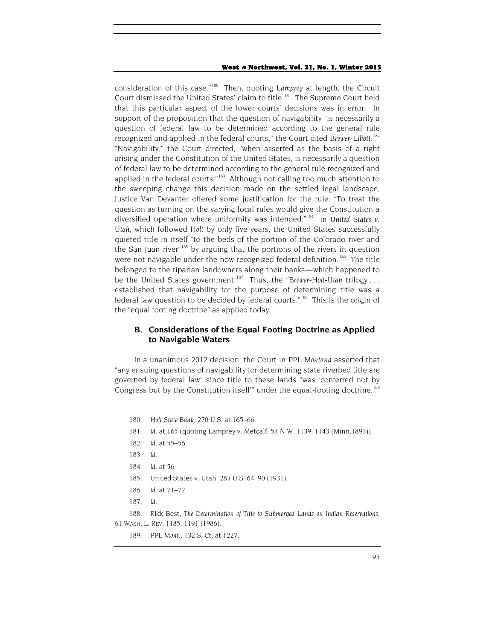consideration of this case."[180](#page-27-0) Then, quoting *Lamprey* at length, the Circuit Court dismissed the United States' claim to title.<sup>[181](#page-27-1)</sup> The Supreme Court held that this particular aspect of the lower courts' decisions was in error. In support of the proposition that the question of navigability "is necessarily a question of federal law to be determined according to the general rule recognized and applied in the federal courts," the Court cited *Brewer-Elliott*. [182](#page-27-2) "Navigability," the Court directed, "when asserted as the basis of a right arising under the Constitution of the United States, is necessarily a question of federal law to be determined according to the general rule recognized and applied in the federal courts."<sup>183</sup> Although not calling too much attention to the sweeping change this decision made on the settled legal landscape, Justice Van Devanter offered some justification for the rule: "To treat the question as turning on the varying local rules would give the Constitution a diversified operation where uniformity was intended."[184](#page-27-4) In *United States v. Utah*, which followed *Holt* by only five years, the United States successfully quieted title in itself "to the beds of the portion of the Colorado river and the San Juan river"<sup>[185](#page-27-5)</sup> by arguing that the portions of the rivers in question were not navigable under the now recognized federal definition.<sup>186</sup> The title belonged to the riparian landowners along their banks—which happened to be the United States government.[187](#page-27-7) Thus, the "*Brewer-Holt-Utah* trilogy . . . established that navigability for the purpose of determining title was a federal law question to be decided by federal courts."<sup>[188](#page-27-8)</sup> This is the origin of the "equal footing doctrine" as applied today.

## **B. Considerations of the Equal Footing Doctrine as Applied to Navigable Waters**

<span id="page-27-0"></span>In a unanimous 2012 decision, the Court in *PPL Montana* asserted that "any ensuing questions of navigability for determining state riverbed title are governed by federal law" since title to these lands "was 'conferred not by Congress but by the Constitution itself" under the equal-footing doctrine.<sup>[189](#page-27-9)</sup>

187*. Id.*

<span id="page-27-9"></span><span id="page-27-8"></span><span id="page-27-7"></span><span id="page-27-6"></span><span id="page-27-5"></span><span id="page-27-4"></span><span id="page-27-3"></span>188. Rick Best, *The Determination of Title to Submerged Lands on Indian Reservations*, 61 WASH. L. REV. 1185, 1191 (1986).

<sup>180</sup>*. Holt State Bank*, 270 U.S. at 165–66.

<span id="page-27-1"></span><sup>181</sup>*. Id.* at 165 (quoting Lamprey v. Metcalf, 53 N.W. 1139, 1143 (Minn.1893)).

<span id="page-27-2"></span><sup>182</sup>*. Id.* at 55–56.

<sup>183</sup>*. Id.*

<sup>184</sup>*. Id.* at 56.

<sup>185.</sup> United States v. Utah, 283 U.S. 64, 90 (1931)*.*

<sup>186</sup>*. Id.* at 71–72.

<sup>189.</sup> *PPL Mont.*, 132 S. Ct. at 1227.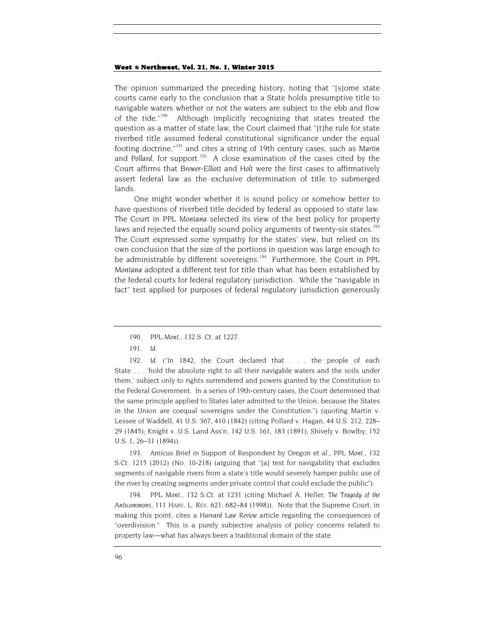The opinion summarized the preceding history, noting that "[s]ome state courts came early to the conclusion that a State holds presumptive title to navigable waters whether or not the waters are subject to the ebb and flow of the tide."[190](#page-28-0) Although implicitly recognizing that states treated the question as a matter of state law, the Court claimed that "[t]he rule for state riverbed title assumed federal constitutional significance under the equal footing doctrine,"[191](#page-28-1) and cites a string of 19th century cases, such as *Martin* and Pollard, for support.<sup>[192](#page-28-2)</sup> A close examination of the cases cited by the Court affirms that *Brewer-Elliott* and *Holt* were the first cases to affirmatively assert federal law as the exclusive determination of title to submerged lands.

One might wonder whether it is sound policy or somehow better to have questions of riverbed title decided by federal as opposed to state law. The Court in *PPL Montana* selected its view of the best policy for property laws and rejected the equally sound policy arguments of twenty-six states.<sup>[193](#page-28-3)</sup> The Court expressed some sympathy for the states' view, but relied on its own conclusion that the size of the portions in question was large enough to be administrable by different sovereigns.<sup>[194](#page-28-4)</sup> Furthermore, the Court in PPL *Montana* adopted a different test for title than what has been established by the federal courts for federal regulatory jurisdiction. While the "navigable in fact" test applied for purposes of federal regulatory jurisdiction generously

<span id="page-28-2"></span><span id="page-28-1"></span><span id="page-28-0"></span>192*. Id.* ("In 1842, the Court declared that . . . the people of each State . . . 'hold the absolute right to all their navigable waters and the soils under them,' subject only to rights surrendered and powers granted by the Constitution to the Federal Government. In a series of 19th-century cases, the Court determined that the same principle applied to States later admitted to the Union, because the States in the Union are coequal sovereigns under the Constitution.") (quoting Martin v. Lessee of Waddell, 41 U.S. 367, 410 (1842) (citing Pollard v. Hagan, 44 U.S. 212, 228– 29 (1845); Knight v. U.S. Land Ass'n, 142 U.S. 161, 183 (1891); Shively v. Bowlby, 152 U.S. 1, 26–31 (1894)).

<span id="page-28-3"></span>193. Amicus Brief in Support of Respondent by Oregon et al., *PPL Mont.*, 132 S.Ct. 1215 (2012) (No. 10-218) (arguing that "[a] test for navigability that excludes segments of navigable rivers from a state's title would severely hamper public use of the river by creating segments under private control that could exclude the public").

<span id="page-28-4"></span>194*. PPL Mont.*, 132 S.Ct. at 1231 (citing Michael A. Heller, *The Tragedy of the Anticommons*, 111 HARV. L. REV. 621, 682–84 (1998)). Note that the Supreme Court, in making this point, cites a *Harvard Law Review* article regarding the consequences of "overdivision." This is a purely subjective analysis of policy concerns related to property law—what has always been a traditional domain of the state.

<sup>190</sup>*. PPL Mont.*, 132 S. Ct. at 1227.

<sup>191</sup>*. Id.*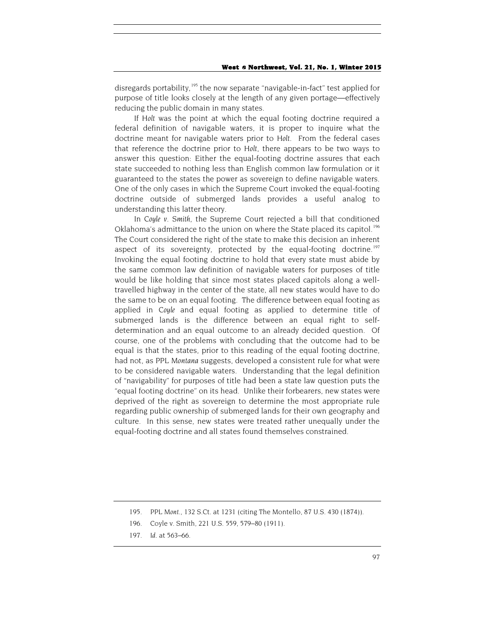disregards portability,<sup>[195](#page-29-0)</sup> the now separate "navigable-in-fact" test applied for purpose of title looks closely at the length of any given portage—effectively reducing the public domain in many states.

If *Holt* was the point at which the equal footing doctrine required a federal definition of navigable waters, it is proper to inquire what the doctrine meant for navigable waters prior to *Holt*. From the federal cases that reference the doctrine prior to *Holt*, there appears to be two ways to answer this question: Either the equal-footing doctrine assures that each state succeeded to nothing less than English common law formulation or it guaranteed to the states the power as sovereign to define navigable waters. One of the only cases in which the Supreme Court invoked the equal-footing doctrine outside of submerged lands provides a useful analog to understanding this latter theory.

In *Coyle v. Smith*, the Supreme Court rejected a bill that conditioned Oklahoma's admittance to the union on where the State placed its capitol.<sup>[196](#page-29-1)</sup> The Court considered the right of the state to make this decision an inherent aspect of its sovereignty, protected by the equal-footing doctrine.<sup>[197](#page-29-2)</sup> Invoking the equal footing doctrine to hold that every state must abide by the same common law definition of navigable waters for purposes of title would be like holding that since most states placed capitols along a welltravelled highway in the center of the state, all new states would have to do the same to be on an equal footing. The difference between equal footing as applied in *Coyle* and equal footing as applied to determine title of submerged lands is the difference between an equal right to selfdetermination and an equal outcome to an already decided question. Of course, one of the problems with concluding that the outcome had to be equal is that the states, prior to this reading of the equal footing doctrine, had not, as *PPL Montana* suggests, developed a consistent rule for what were to be considered navigable waters. Understanding that the legal definition of "navigability" for purposes of title had been a state law question puts the "equal footing doctrine" on its head. Unlike their forbearers, new states were deprived of the right as sovereign to determine the most appropriate rule regarding public ownership of submerged lands for their own geography and culture. In this sense, new states were treated rather unequally under the equal-footing doctrine and all states found themselves constrained.

<span id="page-29-0"></span><sup>195</sup>*. PPL Mont.*, 132 S.Ct. at 1231 (citing The Montello, 87 U.S. 430 (1874)).

<span id="page-29-1"></span><sup>196.</sup> Coyle v. Smith, 221 U.S. 559, 579–80 (1911).

<span id="page-29-2"></span><sup>197</sup>*. Id.* at 563–66.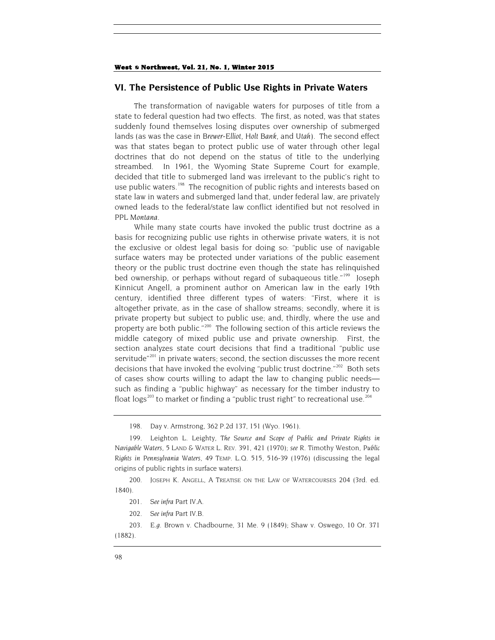## **VI. The Persistence of Public Use Rights in Private Waters**

The transformation of navigable waters for purposes of title from a state to federal question had two effects. The first, as noted, was that states suddenly found themselves losing disputes over ownership of submerged lands (as was the case in *Brewer-Elliot*, *Holt Bank*, and *Utah*). The second effect was that states began to protect public use of water through other legal doctrines that do not depend on the status of title to the underlying streambed. In 1961, the Wyoming State Supreme Court for example, decided that title to submerged land was irrelevant to the public's right to use public waters.<sup>[198](#page-30-0)</sup> The recognition of public rights and interests based on state law in waters and submerged land that, under federal law, are privately owned leads to the federal/state law conflict identified but not resolved in *PPL Montana*.

While many state courts have invoked the public trust doctrine as a basis for recognizing public use rights in otherwise private waters, it is not the exclusive or oldest legal basis for doing so: "public use of navigable surface waters may be protected under variations of the public easement theory or the public trust doctrine even though the state has relinquished bed ownership, or perhaps without regard of subaqueous title."<sup>[199](#page-30-1)</sup> Joseph Kinnicut Angell, a prominent author on American law in the early 19th century, identified three different types of waters: "First, where it is altogether private, as in the case of shallow streams; secondly, where it is private property but subject to public use; and, thirdly, where the use and property are both public."<sup>[200](#page-30-2)</sup> The following section of this article reviews the middle category of mixed public use and private ownership. First, the section analyzes state court decisions that find a traditional "public use servitude<sup>"[201](#page-30-3)</sup> in private waters; second, the section discusses the more recent decisions that have invoked the evolving "public trust doctrine."<sup>[202](#page-30-4)</sup> Both sets of cases show courts willing to adapt the law to changing public needs such as finding a "public highway" as necessary for the timber industry to float  $\log s^{203}$  $\log s^{203}$  $\log s^{203}$  to market or finding a "public trust right" to recreational use.<sup>[204](#page-30-6)</sup>

<sup>198.</sup> Day v. Armstrong, 362 P.2d 137, 151 (Wyo. 1961).

<span id="page-30-6"></span><span id="page-30-1"></span><span id="page-30-0"></span><sup>199.</sup> Leighton L. Leighty, *The Source and Scope of Public and Private Rights in Navigable Waters*, 5 LAND & WATER L. REV. 391, 421 (1970); *see* R. Timothy Weston, *Public Rights in Pennsylvania Waters*, 49 TEMP. L.Q. 515, 516-39 (1976) (discussing the legal origins of public rights in surface waters).

<span id="page-30-3"></span><span id="page-30-2"></span><sup>200.</sup> JOSEPH K. ANGELL, A TREATISE ON THE LAW OF WATERCOURSES 204 (3rd. ed. 1840).

<sup>201</sup>*. See infra* Part IV.A.

<sup>202</sup>*. See infra* Part IV.B.

<span id="page-30-5"></span><span id="page-30-4"></span><sup>203</sup>*. E.g.* Brown v. Chadbourne, 31 Me. 9 (1849); Shaw v. Oswego, 10 Or. 371 (1882).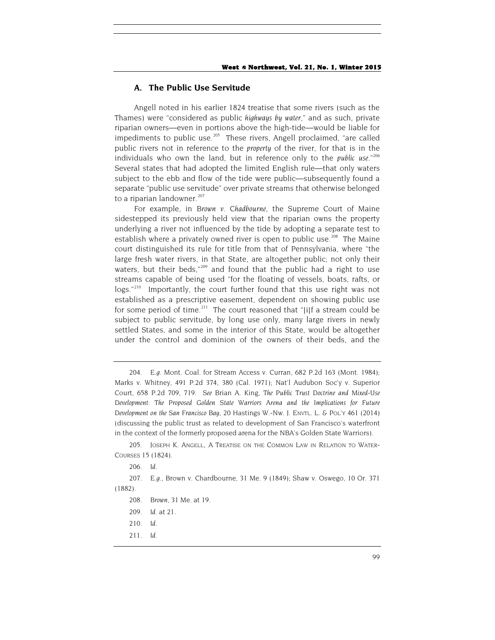## **A. The Public Use Servitude**

Angell noted in his earlier 1824 treatise that some rivers (such as the Thames) were "considered as public *highways by water*," and as such, private riparian owners—even in portions above the high-tide—would be liable for impediments to public use.<sup>[205](#page-31-0)</sup> These rivers, Angell proclaimed, "are called public rivers not in reference to the *property* of the river, for that is in the individuals who own the land, but in reference only to the *public use*."[206](#page-31-1) Several states that had adopted the limited English rule—that only waters subject to the ebb and flow of the tide were public—subsequently found a separate "public use servitude" over private streams that otherwise belonged to a riparian landowner.<sup>[207](#page-31-2)</sup>

For example, in *Brown v. Chadbourne*, the Supreme Court of Maine sidestepped its previously held view that the riparian owns the property underlying a river not influenced by the tide by adopting a separate test to establish where a privately owned river is open to public use.<sup>[208](#page-31-3)</sup> The Maine court distinguished its rule for title from that of Pennsylvania, where "the large fresh water rivers, in that State, are altogether public; not only their waters, but their beds,"<sup>[209](#page-31-4)</sup> and found that the public had a right to use streams capable of being used "for the floating of vessels, boats, rafts, or logs."<sup>[210](#page-31-5)</sup> Importantly, the court further found that this use right was not established as a prescriptive easement, dependent on showing public use for some period of time.<sup>[211](#page-31-6)</sup> The court reasoned that " $[i]$ f a stream could be subject to public servitude, by long use only, many large rivers in newly settled States, and some in the interior of this State, would be altogether under the control and dominion of the owners of their beds, and the

211*. Id.*

<sup>204</sup>*. E.g.* Mont. Coal. for Stream Access v. Curran, 682 P.2d 163 (Mont. 1984); Marks v. Whitney, 491 P.2d 374, 380 (Cal. 1971); Nat'l Audubon Soc'y v. Superior Court, 658 P.2d 709, 719. *See* Brian A. King, *The Public Trust Doctrine and Mixed-Use Development: The Proposed Golden State Warriors Arena and the Implications for Future Development on the San Francisco Bay*, 20 Hastings W.-Nw. J. ENVTL. L. & POL'Y 461 (2014) (discussing the public trust as related to development of San Francisco's waterfront in the context of the formerly proposed arena for the NBA's Golden State Warriors).

<span id="page-31-0"></span><sup>205.</sup> JOSEPH K. ANGELL, A TREATISE ON THE COMMON LAW IN RELATION TO WATER-COURSES 15 (1824).

<sup>206</sup>*. Id.*

<span id="page-31-6"></span><span id="page-31-5"></span><span id="page-31-4"></span><span id="page-31-3"></span><span id="page-31-2"></span><span id="page-31-1"></span><sup>207</sup>*. E.g.*, Brown v. Chardbourne, 31 Me. 9 (1849); Shaw v. Oswego, 10 Or. 371 (1882).

<sup>208</sup>*. Brown*, 31 Me. at 19.

<sup>209</sup>*. Id.* at 21.

<sup>210</sup>*. Id.*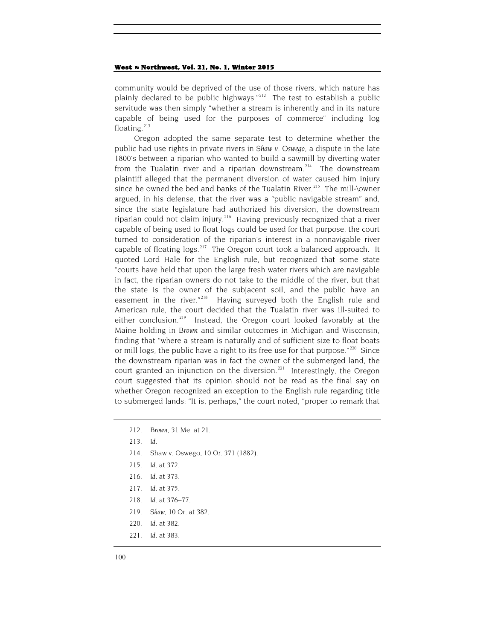community would be deprived of the use of those rivers, which nature has plainly declared to be public highways." $212$  The test to establish a public servitude was then simply "whether a stream is inherently and in its nature capable of being used for the purposes of commerce" including log floating. $213$ 

Oregon adopted the same separate test to determine whether the public had use rights in private rivers in *Shaw v. Oswego*, a dispute in the late 1800's between a riparian who wanted to build a sawmill by diverting water from the Tualatin river and a riparian downstream.<sup>214</sup> The downstream plaintiff alleged that the permanent diversion of water caused him injury since he owned the bed and banks of the Tualatin River.<sup>[215](#page-32-3)</sup> The mill- $\omega$ wner argued, in his defense, that the river was a "public navigable stream" and, since the state legislature had authorized his diversion, the downstream riparian could not claim injury.<sup>216</sup> Having previously recognized that a river capable of being used to float logs could be used for that purpose, the court turned to consideration of the riparian's interest in a nonnavigable river capable of floating  $\log s$ <sup>217</sup> The Oregon court took a balanced approach. It quoted Lord Hale for the English rule, but recognized that some state "courts have held that upon the large fresh water rivers which are navigable in fact, the riparian owners do not take to the middle of the river, but that the state is the owner of the subjacent soil, and the public have an easement in the river."<sup>218</sup> Having surveyed both the English rule and American rule, the court decided that the Tualatin river was ill-suited to either conclusion.<sup>[219](#page-32-7)</sup> Instead, the Oregon court looked favorably at the Maine holding in *Brown* and similar outcomes in Michigan and Wisconsin, finding that "where a stream is naturally and of sufficient size to float boats or mill logs, the public have a right to its free use for that purpose."<sup>[220](#page-32-8)</sup> Since the downstream riparian was in fact the owner of the submerged land, the court granted an injunction on the diversion. $221$  Interestingly, the Oregon court suggested that its opinion should not be read as the final say on whether Oregon recognized an exception to the English rule regarding title to submerged lands: "It is, perhaps," the court noted, "proper to remark that

- <span id="page-32-1"></span>213*. Id.*
- <span id="page-32-3"></span><span id="page-32-2"></span>214. Shaw v. Oswego, 10 Or. 371 (1882).
- 215*. Id.* at 372.
- 216*. Id.* at 373.
- <span id="page-32-6"></span><span id="page-32-5"></span><span id="page-32-4"></span>217*. Id.* at 375.
- 218*. Id.* at 376–77.
- <span id="page-32-7"></span>219*. Shaw*, 10 Or. at 382.
- 220*. Id.* at 382.
- <span id="page-32-9"></span><span id="page-32-8"></span>221*. Id.* at 383.

<span id="page-32-0"></span><sup>212</sup>*. Brown*, 31 Me. at *21.*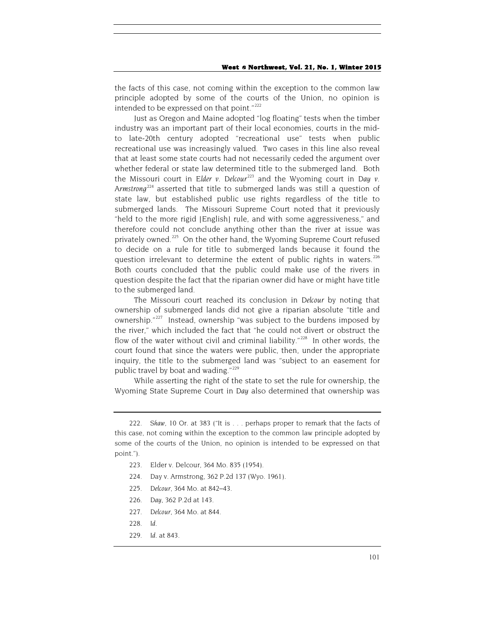the facts of this case, not coming within the exception to the common law principle adopted by some of the courts of the Union, no opinion is intended to be expressed on that point."<sup>[222](#page-33-0)</sup>

Just as Oregon and Maine adopted "log floating" tests when the timber industry was an important part of their local economies, courts in the midto late-20th century adopted "recreational use" tests when public recreational use was increasingly valued. Two cases in this line also reveal that at least some state courts had not necessarily ceded the argument over whether federal or state law determined title to the submerged land. Both the Missouri court in *Elder v. Delcour*<sup>[223](#page-33-1)</sup> and the Wyoming court in *Day v. Armstrong*[224](#page-33-2) asserted that title to submerged lands was still a question of state law, but established public use rights regardless of the title to submerged lands. The Missouri Supreme Court noted that it previously "held to the more rigid [English] rule, and with some aggressiveness," and therefore could not conclude anything other than the river at issue was privately owned.<sup>[225](#page-33-3)</sup> On the other hand, the Wyoming Supreme Court refused to decide on a rule for title to submerged lands because it found the question irrelevant to determine the extent of public rights in waters.<sup>[226](#page-33-4)</sup> Both courts concluded that the public could make use of the rivers in question despite the fact that the riparian owner did have or might have title to the submerged land.

The Missouri court reached its conclusion in *Delcour* by noting that ownership of submerged lands did not give a riparian absolute "title and ownership."<sup>[227](#page-33-5)</sup> Instead, ownership "was subject to the burdens imposed by the river," which included the fact that "he could not divert or obstruct the flow of the water without civil and criminal liability." $228$  In other words, the court found that since the waters were public, then, under the appropriate inquiry, the title to the submerged land was "subject to an easement for public travel by boat and wading."<sup>[229](#page-33-7)</sup>

While asserting the right of the state to set the rule for ownership, the Wyoming State Supreme Court in *Day* also determined that ownership was

- 224. Day v. Armstrong, 362 P.2d 137 (Wyo. 1961).
- <span id="page-33-3"></span>225*. Delcour*, 364 Mo. at 842–43.
- <span id="page-33-4"></span>226*. Day*, 362 P.2d at 143.
- <span id="page-33-6"></span><span id="page-33-5"></span>227*. Delcour*, 364 Mo. at 844.
- 228*. Id.*
- <span id="page-33-7"></span>229*. Id.* at 843.

<span id="page-33-2"></span><span id="page-33-1"></span><span id="page-33-0"></span><sup>222</sup>*. Shaw*, 10 Or. at 383 ("It is . . . perhaps proper to remark that the facts of this case, not coming within the exception to the common law principle adopted by some of the courts of the Union, no opinion is intended to be expressed on that point.").

<sup>223.</sup> Elder v. Delcour, 364 Mo. 835 (1954).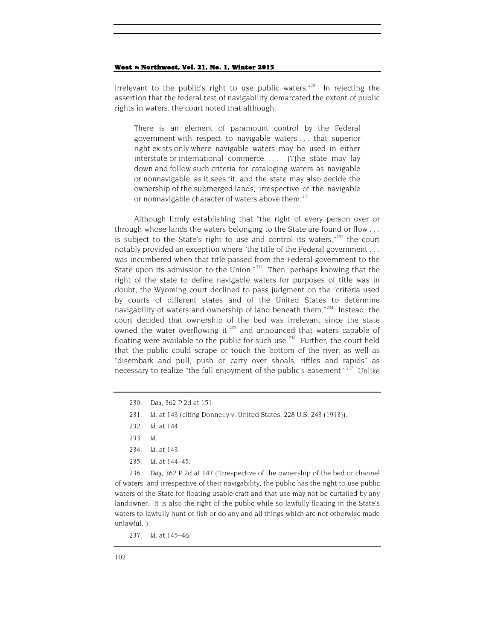irrelevant to the public's right to use public waters.<sup>230</sup> In rejecting the assertion that the federal test of navigability demarcated the extent of public rights in waters, the court noted that although:

There is an element of paramount control by the Federal government with respect to navigable waters . . . that superior right exists only where navigable waters may be used in either interstate or international commerce. . . . [T]he state may lay down and follow such criteria for cataloging waters as navigable or nonnavigable, as it sees fit, and the state may also decide the ownership of the submerged lands, irrespective of the navigable or nonnavigable character of waters above them.<sup>[231](#page-34-1)</sup>

Although firmly establishing that "the right of every person over or through whose lands the waters belonging to the State are found or flow . . . is subject to the State's right to use and control its waters, $1^{232}$  $1^{232}$  $1^{232}$  the court notably provided an exception where "the title of the Federal government . . . was incumbered when that title passed from the Federal government to the State upon its admission to the Union."<sup>[233](#page-34-3)</sup> Then, perhaps knowing that the right of the state to define navigable waters for purposes of title was in doubt, the Wyoming court declined to pass judgment on the "criteria used by courts of different states and of the United States to determine navigability of waters and ownership of land beneath them."<sup>[234](#page-34-4)</sup> Instead, the court decided that ownership of the bed was irrelevant since the state owned the water overflowing it, $235$  and announced that waters capable of floating were available to the public for such use.<sup>236</sup> Further, the court held that the public could scrape or touch the bottom of the river, as well as "disembark and pull, push or carry over shoals, riffles and rapids" as necessary to realize "the full enjoyment of the public's easement."<sup>[237](#page-34-7)</sup> Unlike

- 232*. Id.* at 144
- 233*. Id*.
- 234*. Id.* at 143.
- 235*. Id.* at 144–45.

<span id="page-34-6"></span><span id="page-34-5"></span><span id="page-34-4"></span><span id="page-34-3"></span><span id="page-34-2"></span>236*. Day*, 362 P.2d at 147 ("Irrespective of the ownership of the bed or channel of waters, and irrespective of their navigability, the public has the right to use public waters of the State for floating usable craft and that use may not be curtailed by any landowner. It is also the right of the public while so lawfully floating in the State's waters to lawfully hunt or fish or do any and all things which are not otherwise made unlawful.").

<span id="page-34-0"></span><sup>230</sup>*. Day*, 362 P.2d at 151.

<span id="page-34-1"></span><sup>231</sup>*. Id.* at 143 (citing Donnelly v. United States, 228 U.S. 243 (1913)).

<span id="page-34-7"></span><sup>237</sup>*. Id.* at 145–46.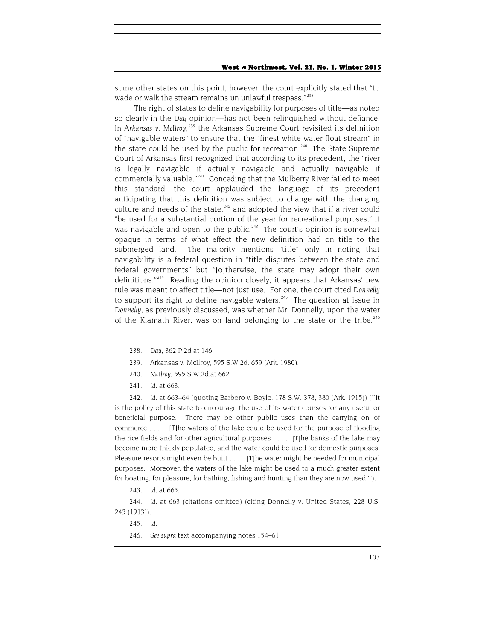some other states on this point, however, the court explicitly stated that "to wade or walk the stream remains un unlawful trespass."<sup>[238](#page-35-0)</sup>

The right of states to define navigability for purposes of title—as noted so clearly in the *Day* opinion—has not been relinquished without defiance. In Arkansas v. McIlroy,<sup>[239](#page-35-1)</sup> the Arkansas Supreme Court revisited its definition of "navigable waters" to ensure that the "finest white water float stream" in the state could be used by the public for recreation.<sup>[240](#page-35-2)</sup> The State Supreme Court of Arkansas first recognized that according to its precedent, the "river is legally navigable if actually navigable and actually navigable if commercially valuable."<sup>241</sup> Conceding that the Mulberry River failed to meet this standard, the court applauded the language of its precedent anticipating that this definition was subject to change with the changing culture and needs of the state, $242$  and adopted the view that if a river could "be used for a substantial portion of the year for recreational purposes," it was navigable and open to the public.<sup>[243](#page-35-5)</sup> The court's opinion is somewhat opaque in terms of what effect the new definition had on title to the submerged land. The majority mentions "title" only in noting that navigability is a federal question in "title disputes between the state and federal governments" but "[o]therwise, the state may adopt their own definitions."[244](#page-35-6) Reading the opinion closely, it appears that Arkansas' new rule was meant to affect title—not just use. For one, the court cited *Donnelly* to support its right to define navigable waters.<sup>[245](#page-35-7)</sup> The question at issue in *Donnelly*, as previously discussed, was whether Mr. Donnelly, upon the water of the Klamath River, was on land belonging to the state or the tribe.<sup>[246](#page-35-8)</sup>

- 239. Arkansas v. McIlroy, 595 S.W.2d. 659 (Ark. 1980).
- 240*. McIlroy*, 595 S.W.2d.at 662.
- 241*. Id.* at 663.

<span id="page-35-4"></span><span id="page-35-3"></span><span id="page-35-2"></span><span id="page-35-1"></span><span id="page-35-0"></span>242*. Id.* at 663–64 (quoting Barboro v. Boyle, 178 S.W. 378, 380 (Ark. 1915)) ("'It is the policy of this state to encourage the use of its water courses for any useful or beneficial purpose. There may be other public uses than the carrying on of commerce . . . . [T]he waters of the lake could be used for the purpose of flooding the rice fields and for other agricultural purposes . . . . [T]he banks of the lake may become more thickly populated, and the water could be used for domestic purposes. Pleasure resorts might even be built . . . . [T]he water might be needed for municipal purposes. Moreover, the waters of the lake might be used to a much greater extent for boating, for pleasure, for bathing, fishing and hunting than they are now used.'").

<span id="page-35-8"></span><span id="page-35-7"></span><span id="page-35-6"></span><span id="page-35-5"></span>244*. Id*. at 663 (citations omitted) (citing Donnelly v. United States, 228 U.S. 243 (1913)).

245*. Id.*

246*. See supra* text accompanying notes 154–61.

<sup>238</sup>*. Day*, 362 P.2d at 146.

<sup>243</sup>*. Id.* at 665.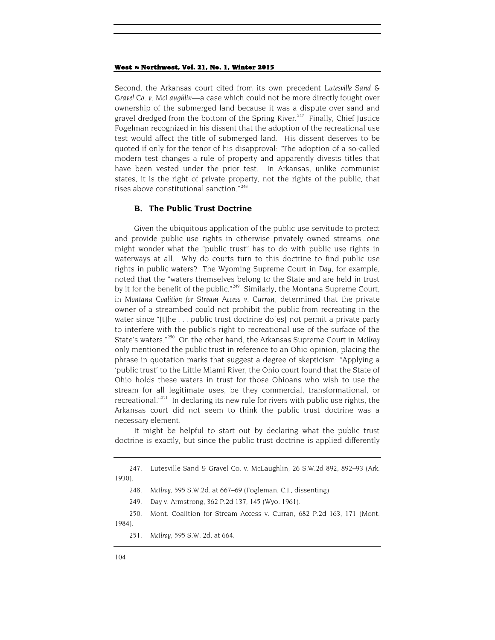Second, the Arkansas court cited from its own precedent *Lutesville Sand & Gravel Co. v. McLaughlin*—a case which could not be more directly fought over ownership of the submerged land because it was a dispute over sand and gravel dredged from the bottom of the Spring River.<sup>[247](#page-36-0)</sup> Finally, Chief Justice Fogelman recognized in his dissent that the adoption of the recreational use test would affect the title of submerged land. His dissent deserves to be quoted if only for the tenor of his disapproval: "The adoption of a so-called modern test changes a rule of property and apparently divests titles that have been vested under the prior test. In Arkansas, unlike communist states, it is the right of private property, not the rights of the public, that rises above constitutional sanction."[248](#page-36-1)

## **B. The Public Trust Doctrine**

Given the ubiquitous application of the public use servitude to protect and provide public use rights in otherwise privately owned streams, one might wonder what the "public trust" has to do with public use rights in waterways at all. Why do courts turn to this doctrine to find public use rights in public waters? The Wyoming Supreme Court in *Day*, for example, noted that the "waters themselves belong to the State and are held in trust by it for the benefit of the public."<sup>[249](#page-36-2)</sup> Similarly, the Montana Supreme Court, in *Montana Coalition for Stream Access v. Curran*, determined that the private owner of a streambed could not prohibit the public from recreating in the water since "[t]he ... public trust doctrine do[es] not permit a private party to interfere with the public's right to recreational use of the surface of the State's waters."[250](#page-36-3) On the other hand, the Arkansas Supreme Court in *McIlroy* only mentioned the public trust in reference to an Ohio opinion, placing the phrase in quotation marks that suggest a degree of skepticism: "Applying a 'public trust' to the Little Miami River, the Ohio court found that the State of Ohio holds these waters in trust for those Ohioans who wish to use the stream for all legitimate uses, be they commercial, transformational, or recreational."<sup>251</sup> In declaring its new rule for rivers with public use rights, the Arkansas court did not seem to think the public trust doctrine was a necessary element.

It might be helpful to start out by declaring what the public trust doctrine is exactly, but since the public trust doctrine is applied differently

<span id="page-36-1"></span><span id="page-36-0"></span><sup>247.</sup> Lutesville Sand & Gravel Co. v. McLaughlin, 26 S.W.2d 892, 892–93 (Ark. 1930).

<sup>248</sup>*. McIlroy*, 595 S.W.2d. at 667–69 (Fogleman, C.J., dissenting).

<sup>249.</sup> Day v. Armstrong, 362 P.2d 137, 145 (Wyo. 1961).

<span id="page-36-4"></span><span id="page-36-3"></span><span id="page-36-2"></span><sup>250.</sup> Mont. Coalition for Stream Access v. Curran, 682 P.2d 163, 171 (Mont. 1984).

<sup>251</sup>*. McIlroy*, 595 S.W. 2d. at 664.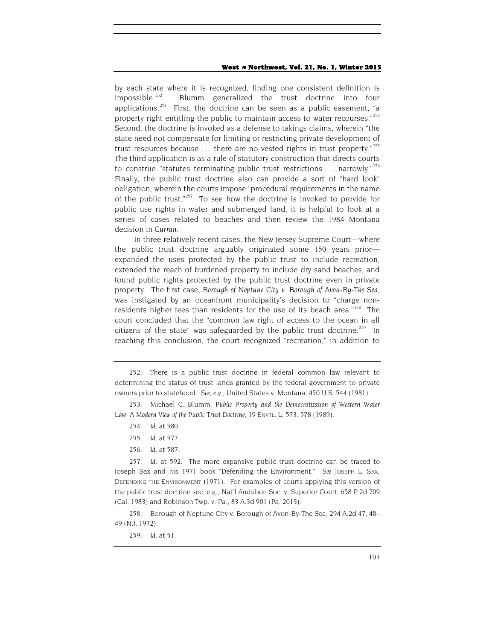by each state where it is recognized, finding one consistent definition is impossible.<sup>252</sup> Blumm generalized the trust doctrine into four applications:  $253$  First, the doctrine can be seen as a public easement, "a property right entitling the public to maintain access to water recourses."[254](#page-37-2) Second, the doctrine is invoked as a defense to takings claims, wherein "the state need not compensate for limiting or restricting private development of trust resources because . . . there are no vested rights in trust property."<sup>[255](#page-37-3)</sup> The third application is as a rule of statutory construction that directs courts to construe "statutes terminating public trust restrictions  $\dots$  narrowly."<sup>[256](#page-37-4)</sup> Finally, the public trust doctrine also can provide a sort of "hard look" obligation, wherein the courts impose "procedural requirements in the name of the public trust." $257$  To see how the doctrine is invoked to provide for public use rights in water and submerged land, it is helpful to look at a series of cases related to beaches and then review the 1984 Montana decision in *Curran*.

In three relatively recent cases, the New Jersey Supreme Court—where the public trust doctrine arguably originated some 150 years prior expanded the uses protected by the public trust to include recreation, extended the reach of burdened property to include dry sand beaches, and found public rights protected by the public trust doctrine even in private property. The first case, *Borough of Neptune City v. Borough of Avon-By-The Sea*, was instigated by an oceanfront municipality's decision to "charge non-residents higher fees than residents for the use of its beach area."<sup>[258](#page-37-6)</sup> The court concluded that the "common law right of access to the ocean in all citizens of the state" was safeguarded by the public trust doctrine.<sup>[259](#page-37-7)</sup> In reaching this conclusion, the court recognized "recreation," in addition to

- 254*. Id.* at 580.
- 255*. Id.* at 577.
- 256*. Id.* at 587.

<span id="page-37-7"></span><span id="page-37-6"></span>258. Borough of Neptune City v. Borough of Avon-By-The Sea, 294 A.2d 47, 48– 49 (N.J. 1972).

<span id="page-37-0"></span><sup>252.</sup> There is a public trust doctrine in federal common law relevant to determining the status of trust lands granted by the federal government to private owners prior to statehood. *See, e.g.*, United States v. Montana, 450 U.S. 544 (1981).

<span id="page-37-2"></span><span id="page-37-1"></span><sup>253.</sup> Michael C. Blumm, *Public Property and the Democratization of Western Water Law: A Modern View of the Public Trust Doctrine*, 19 ENVTL. L. 573, 578 (1989).

<span id="page-37-5"></span><span id="page-37-4"></span><span id="page-37-3"></span><sup>257</sup>*. Id.* at 592. The more expansive public trust doctrine can be traced to Joseph Sax and his 1971 book "Defending the Environment." *See* JOSEPH L. SAX, DEFENDING THE ENVIRONMENT (1971). For examples of courts applying this version of the public trust doctrine see, e.g., Nat'l Audubon Soc. v. Superior Court, 658 P.2d 709 (Cal. 1983) and Robinson Twp. v. Pa., 83 A.3d 901 (Pa. 2013).

<sup>259</sup>*. Id.* at 51.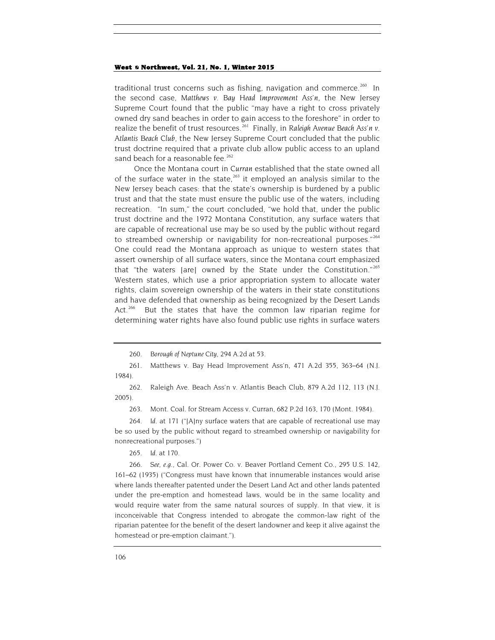traditional trust concerns such as fishing, navigation and commerce.<sup>260</sup> In the second case, *Matthews v. Bay Head Improvement Ass'n*, the New Jersey Supreme Court found that the public "may have a right to cross privately owned dry sand beaches in order to gain access to the foreshore" in order to realize the benefit of trust resources.<sup>261</sup> Finally, in *Raleigh Avenue Beach Ass'n v*. *Atlantis Beach Club*, the New Jersey Supreme Court concluded that the public trust doctrine required that a private club allow public access to an upland sand beach for a reasonable fee.<sup>[262](#page-38-2)</sup>

Once the Montana court in *Curran* established that the state owned all of the surface water in the state,  $263$  it employed an analysis similar to the New Jersey beach cases: that the state's ownership is burdened by a public trust and that the state must ensure the public use of the waters, including recreation. "In sum," the court concluded, "we hold that, under the public trust doctrine and the 1972 Montana Constitution, any surface waters that are capable of recreational use may be so used by the public without regard to streambed ownership or navigability for non-recreational purposes."[264](#page-38-4) One could read the Montana approach as unique to western states that assert ownership of all surface waters, since the Montana court emphasized that "the waters [are] owned by the State under the Constitution." $265$ Western states, which use a prior appropriation system to allocate water rights, claim sovereign ownership of the waters in their state constitutions and have defended that ownership as being recognized by the Desert Lands Act.<sup>[266](#page-38-6)</sup> But the states that have the common law riparian regime for determining water rights have also found public use rights in surface waters

<span id="page-38-2"></span>262. Raleigh Ave. Beach Ass'n v. Atlantis Beach Club, 879 A.2d 112, 113 (N.J. 2005).

263. Mont. Coal. for Stream Access v. Curran, 682 P.2d 163, 170 (Mont. 1984).

<span id="page-38-4"></span><span id="page-38-3"></span>264*. Id.* at 171 ("[A]ny surface waters that are capable of recreational use may be so used by the public without regard to streambed ownership or navigability for nonrecreational purposes.")

265*. Id.* at 170.

<span id="page-38-6"></span><span id="page-38-5"></span>266*. See, e.g.*, Cal. Or. Power Co. v. Beaver Portland Cement Co., 295 U.S. 142, 161–62 (1935) ("Congress must have known that innumerable instances would arise where lands thereafter patented under the Desert Land Act and other lands patented under the pre-emption and homestead laws, would be in the same locality and would require water from the same natural sources of supply. In that view, it is inconceivable that Congress intended to abrogate the common-law right of the riparian patentee for the benefit of the desert landowner and keep it alive against the homestead or pre-emption claimant.").

<sup>260</sup>*. Borough of Neptune City*, 294 A.2d at 53.

<span id="page-38-1"></span><span id="page-38-0"></span><sup>261.</sup> Matthews v. Bay Head Improvement Ass'n, 471 A.2d 355, 363–64 (N.J. 1984).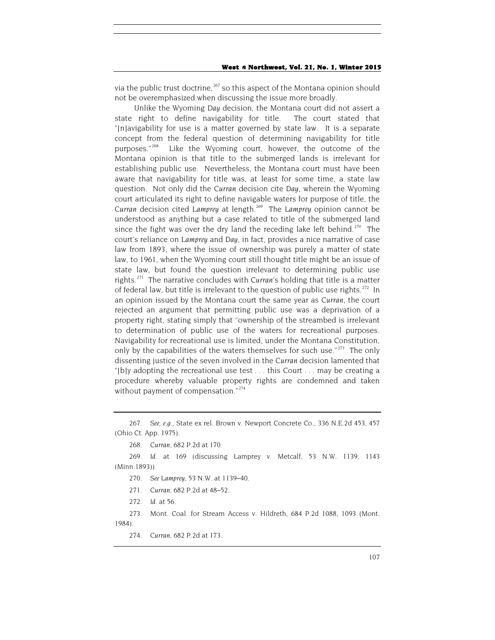via the public trust doctrine,<sup>[267](#page-39-0)</sup> so this aspect of the Montana opinion should not be overemphasized when discussing the issue more broadly.

Unlike the Wyoming *Day* decision, the Montana court did not assert a state right to define navigability for title. The court stated that "[n]avigability for use is a matter governed by state law. It is a separate concept from the federal question of determining navigability for title purposes."<sup>[268](#page-39-1)</sup> Like the Wyoming court, however, the outcome of the Montana opinion is that title to the submerged lands is irrelevant for establishing public use. Nevertheless, the Montana court must have been aware that navigability for title was, at least for some time, a state law question. Not only did the *Curran* decision cite *Day*, wherein the Wyoming court articulated its right to define navigable waters for purpose of title, the *Curran* decision cited *Lamprey* at length.[269](#page-39-2) The *Lamprey* opinion cannot be understood as anything but a case related to title of the submerged land since the fight was over the dry land the receding lake left behind.<sup>[270](#page-39-3)</sup> The court's reliance on *Lamprey* and *Day*, in fact, provides a nice narrative of case law from 1893, where the issue of ownership was purely a matter of state law, to 1961, when the Wyoming court still thought title might be an issue of state law, but found the question irrelevant to determining public use rights.[271](#page-39-4) The narrative concludes with *Curran*'s holding that title is a matter of federal law, but title is irrelevant to the question of public use rights.<sup>[272](#page-39-5)</sup> In an opinion issued by the Montana court the same year as *Curran*, the court rejected an argument that permitting public use was a deprivation of a property right, stating simply that "ownership of the streambed is irrelevant to determination of public use of the waters for recreational purposes. Navigability for recreational use is limited, under the Montana Constitution, only by the capabilities of the waters themselves for such use." $273$  The only dissenting justice of the seven involved in the *Curran* decision lamented that "[b]y adopting the recreational use test . . . this Court . . . may be creating a procedure whereby valuable property rights are condemned and taken without payment of compensation."<sup>[274](#page-39-7)</sup>

- 270*. See Lamprey*, 53 N.W. at 1139–40.
- 271*. Curran*, 682 P.2d at 48–52.
- 272*. Id.* at 56.

<span id="page-39-7"></span><span id="page-39-6"></span><span id="page-39-5"></span><span id="page-39-4"></span>273. Mont. Coal. for Stream Access v. Hildreth, 684 P.2d 1088, 1093 (Mont. 1984).

274*. Curran*, 682 P.2d at 173.

<span id="page-39-0"></span><sup>267</sup>*. See, e.g.*, State ex rel. Brown v. Newport Concrete Co., 336 N.E.2d 453, 457 (Ohio Ct. App. 1975).

<sup>268</sup>*. Curran*, 682 P.2d at 170.

<span id="page-39-3"></span><span id="page-39-2"></span><span id="page-39-1"></span><sup>269</sup>*. Id.* at 169 (discussing Lamprey v. Metcalf, 53 N.W. 1139, 1143 (Minn.1893)).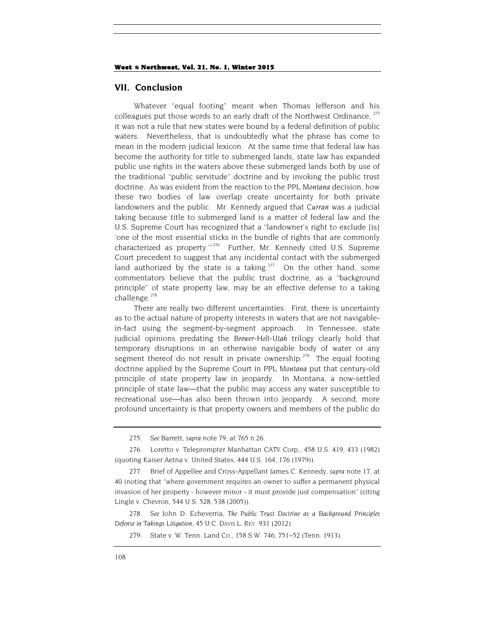## **VII. Conclusion**

Whatever "equal footing" meant when Thomas Jefferson and his colleagues put those words to an early draft of the Northwest Ordinance, <sup>[275](#page-40-0)</sup> it was not a rule that new states were bound by a federal definition of public waters. Nevertheless, that is undoubtedly what the phrase has come to mean in the modern judicial lexicon. At the same time that federal law has become the authority for title to submerged lands, state law has expanded public use rights in the waters above these submerged lands both by use of the traditional "public servitude" doctrine and by invoking the public trust doctrine. As was evident from the reaction to the *PPL Montana* decision, how these two bodies of law overlap create uncertainty for both private landowners and the public. Mr. Kennedy argued that *Curran* was a judicial taking because title to submerged land is a matter of federal law and the U.S. Supreme Court has recognized that a "landowner's right to exclude [is] 'one of the most essential sticks in the bundle of rights that are commonly characterized as property.'"[276](#page-40-1) Further, Mr. Kennedy cited U.S. Supreme Court precedent to suggest that any incidental contact with the submerged land authorized by the state is a taking.<sup>277</sup> On the other hand, some commentators believe that the public trust doctrine, as a "background principle" of state property law, may be an effective defense to a taking challenge.<sup>[278](#page-40-3)</sup>

There are really two different uncertainties. First, there is uncertainty as to the actual nature of property interests in waters that are not navigablein-fact using the segment-by-segment approach. In Tennessee, state judicial opinions predating the *Brewer*-*Holt*-*Utah* trilogy clearly hold that temporary disruptions in an otherwise navigable body of water or any segment thereof do not result in private ownership.<sup>[279](#page-40-4)</sup> The equal footing doctrine applied by the Supreme Court in *PPL Montana* put that century-old principle of state property law in jeopardy. In Montana, a now-settled principle of state law—that the public may access any water susceptible to recreational use—has also been thrown into jeopardy. A second, more profound uncertainty is that property owners and members of the public do

<span id="page-40-4"></span><span id="page-40-3"></span>278*. See* John D. Echeverria, *The Public Trust Doctrine as a Background Principles Defense in Takings Litigation*, 45 U.C. DAVIS L. REV. 931 (2012).

<sup>275</sup>*. See* Barrett, *supra* note [79,](#page-13-8) at 765 n.26.

<span id="page-40-1"></span><span id="page-40-0"></span><sup>276.</sup> Loretto v. Teleprompter Manhattan CATV Corp., 458 U.S. 419, 433 (1982) (quoting Kaiser Aetna v. United States, 444 U.S. 164, 176 (1979)).

<span id="page-40-2"></span><sup>277.</sup> Brief of Appellee and Cross-Appellant James C. Kennedy, *supra* note 17, at 40 (noting that "where government requires an owner to suffer a permanent physical invasion of her property - however minor - it must provide just compensation" (citing Lingle v. Chevron, 544 U.S. 528, 538 (2005)).

<sup>279.</sup> State v. W. Tenn. Land Co., 158 S.W. 746, 751–52 (Tenn. 1913).